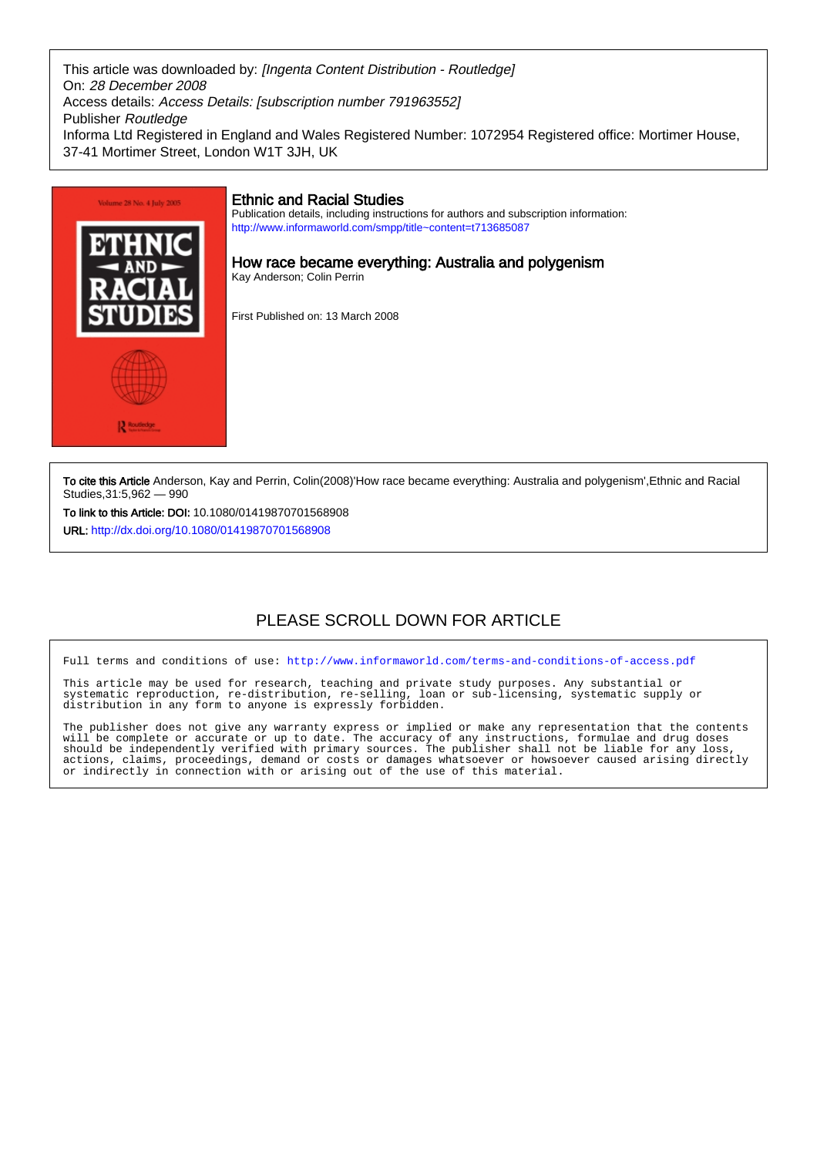This article was downloaded by: *[Ingenta Content Distribution - Routledge]* On: 28 December 2008 Access details: Access Details: [subscription number 791963552] Publisher Routledge Informa Ltd Registered in England and Wales Registered Number: 1072954 Registered office: Mortimer House, 37-41 Mortimer Street, London W1T 3JH, UK



To cite this Article Anderson, Kay and Perrin, Colin(2008)'How race became everything: Australia and polygenism',Ethnic and Racial Studies,31:5,962 — 990

To link to this Article: DOI: 10.1080/01419870701568908 URL: <http://dx.doi.org/10.1080/01419870701568908>

# PLEASE SCROLL DOWN FOR ARTICLE

Full terms and conditions of use:<http://www.informaworld.com/terms-and-conditions-of-access.pdf>

This article may be used for research, teaching and private study purposes. Any substantial or systematic reproduction, re-distribution, re-selling, loan or sub-licensing, systematic supply or distribution in any form to anyone is expressly forbidden.

The publisher does not give any warranty express or implied or make any representation that the contents will be complete or accurate or up to date. The accuracy of any instructions, formulae and drug doses should be independently verified with primary sources. The publisher shall not be liable for any loss, actions, claims, proceedings, demand or costs or damages whatsoever or howsoever caused arising directly or indirectly in connection with or arising out of the use of this material.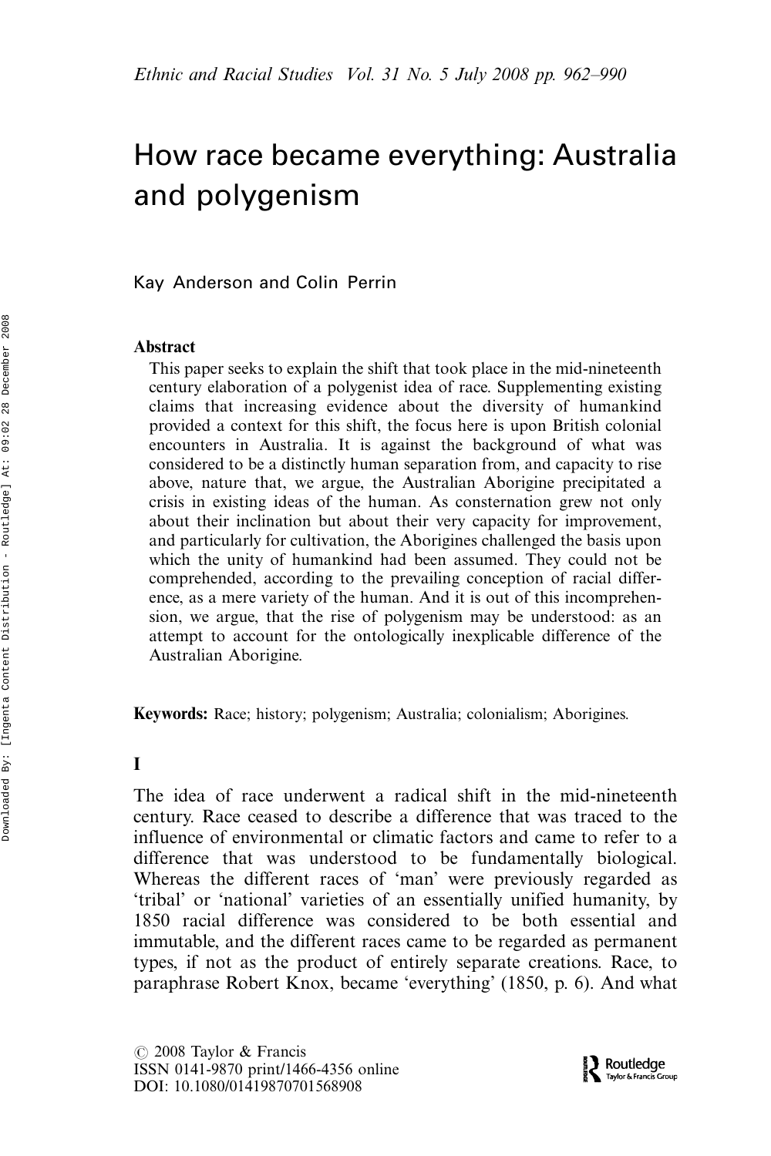# How race became everything: Australia and polygenism

Kay Anderson and Colin Perrin

#### Abstract

This paper seeks to explain the shift that took place in the mid-nineteenth century elaboration of a polygenist idea of race. Supplementing existing claims that increasing evidence about the diversity of humankind provided a context for this shift, the focus here is upon British colonial encounters in Australia. It is against the background of what was considered to be a distinctly human separation from, and capacity to rise above, nature that, we argue, the Australian Aborigine precipitated a crisis in existing ideas of the human. As consternation grew not only about their inclination but about their very capacity for improvement, and particularly for cultivation, the Aborigines challenged the basis upon which the unity of humankind had been assumed. They could not be comprehended, according to the prevailing conception of racial difference, as a mere variety of the human. And it is out of this incomprehension, we argue, that the rise of polygenism may be understood: as an attempt to account for the ontologically inexplicable difference of the Australian Aborigine.

Keywords: Race; history; polygenism; Australia; colonialism; Aborigines.

## I

The idea of race underwent a radical shift in the mid-nineteenth century. Race ceased to describe a difference that was traced to the influence of environmental or climatic factors and came to refer to a difference that was understood to be fundamentally biological. Whereas the different races of 'man' were previously regarded as 'tribal' or 'national' varieties of an essentially unified humanity, by 1850 racial difference was considered to be both essential and immutable, and the different races came to be regarded as permanent types, if not as the product of entirely separate creations. Race, to paraphrase Robert Knox, became 'everything' (1850, p. 6). And what

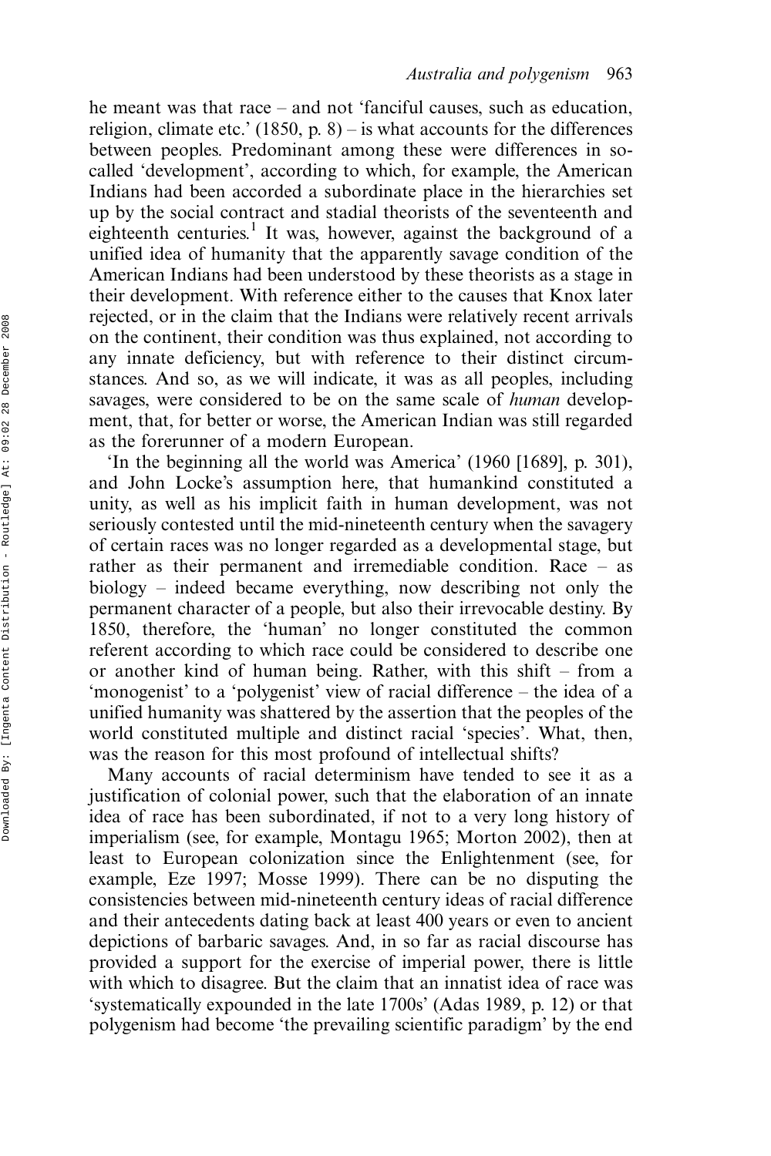he meant was that race  $-$  and not 'fanciful causes, such as education, religion, climate etc.' (1850, p. 8) – is what accounts for the differences between peoples. Predominant among these were differences in socalled 'development', according to which, for example, the American Indians had been accorded a subordinate place in the hierarchies set up by the social contract and stadial theorists of the seventeenth and eighteenth centuries.<sup>1</sup> It was, however, against the background of a unified idea of humanity that the apparently savage condition of the American Indians had been understood by these theorists as a stage in their development. With reference either to the causes that Knox later rejected, or in the claim that the Indians were relatively recent arrivals on the continent, their condition was thus explained, not according to any innate deficiency, but with reference to their distinct circumstances. And so, as we will indicate, it was as all peoples, including savages, were considered to be on the same scale of human development, that, for better or worse, the American Indian was still regarded as the forerunner of a modern European.

'In the beginning all the world was America' (1960 [1689], p. 301), and John Locke's assumption here, that humankind constituted a unity, as well as his implicit faith in human development, was not seriously contested until the mid-nineteenth century when the savagery of certain races was no longer regarded as a developmental stage, but rather as their permanent and irremediable condition. Race  $-$  as  $\rm{biology}$  – indeed became everything, now describing not only the permanent character of a people, but also their irrevocable destiny. By 1850, therefore, the 'human' no longer constituted the common referent according to which race could be considered to describe one or another kind of human being. Rather, with this shift  $-$  from a 'monogenist' to a 'polygenist' view of racial difference the idea of a unified humanity was shattered by the assertion that the peoples of the world constituted multiple and distinct racial 'species'. What, then, was the reason for this most profound of intellectual shifts?

Many accounts of racial determinism have tended to see it as a justification of colonial power, such that the elaboration of an innate idea of race has been subordinated, if not to a very long history of imperialism (see, for example, Montagu 1965; Morton 2002), then at least to European colonization since the Enlightenment (see, for example, Eze 1997; Mosse 1999). There can be no disputing the consistencies between mid-nineteenth century ideas of racial difference and their antecedents dating back at least 400 years or even to ancient depictions of barbaric savages. And, in so far as racial discourse has provided a support for the exercise of imperial power, there is little with which to disagree. But the claim that an innatist idea of race was 'systematically expounded in the late 1700s' (Adas 1989, p. 12) or that polygenism had become 'the prevailing scientific paradigm' by the end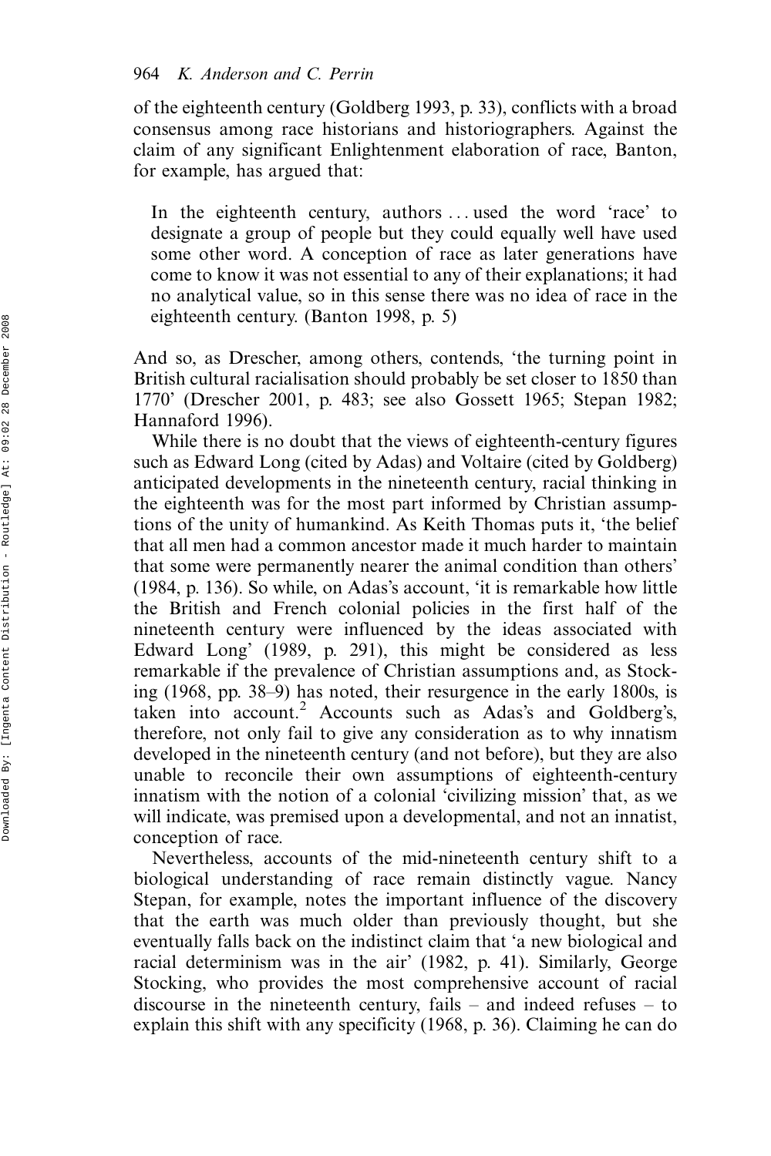of the eighteenth century (Goldberg 1993, p. 33), conflicts with a broad consensus among race historians and historiographers. Against the claim of any significant Enlightenment elaboration of race, Banton, for example, has argued that:

In the eighteenth century, authors ... used the word 'race' to designate a group of people but they could equally well have used some other word. A conception of race as later generations have come to know it was not essential to any of their explanations; it had no analytical value, so in this sense there was no idea of race in the eighteenth century. (Banton 1998, p. 5)

And so, as Drescher, among others, contends, 'the turning point in British cultural racialisation should probably be set closer to 1850 than 1770' (Drescher 2001, p. 483; see also Gossett 1965; Stepan 1982; Hannaford 1996).

While there is no doubt that the views of eighteenth-century figures such as Edward Long (cited by Adas) and Voltaire (cited by Goldberg) anticipated developments in the nineteenth century, racial thinking in the eighteenth was for the most part informed by Christian assumptions of the unity of humankind. As Keith Thomas puts it, 'the belief that all men had a common ancestor made it much harder to maintain that some were permanently nearer the animal condition than others' (1984, p. 136). So while, on Adas's account, 'it is remarkable how little the British and French colonial policies in the first half of the nineteenth century were influenced by the ideas associated with Edward Long' (1989, p. 291), this might be considered as less remarkable if the prevalence of Christian assumptions and, as Stocking  $(1968, pp. 38-9)$  has noted, their resurgence in the early 1800s, is taken into account.2 Accounts such as Adas's and Goldberg's, therefore, not only fail to give any consideration as to why innatism developed in the nineteenth century (and not before), but they are also unable to reconcile their own assumptions of eighteenth-century innatism with the notion of a colonial 'civilizing mission' that, as we will indicate, was premised upon a developmental, and not an innatist, conception of race.

Nevertheless, accounts of the mid-nineteenth century shift to a biological understanding of race remain distinctly vague. Nancy Stepan, for example, notes the important influence of the discovery that the earth was much older than previously thought, but she eventually falls back on the indistinct claim that 'a new biological and racial determinism was in the air' (1982, p. 41). Similarly, George Stocking, who provides the most comprehensive account of racial discourse in the nineteenth century, fails  $-$  and indeed refuses  $-$  to explain this shift with any specificity (1968, p. 36). Claiming he can do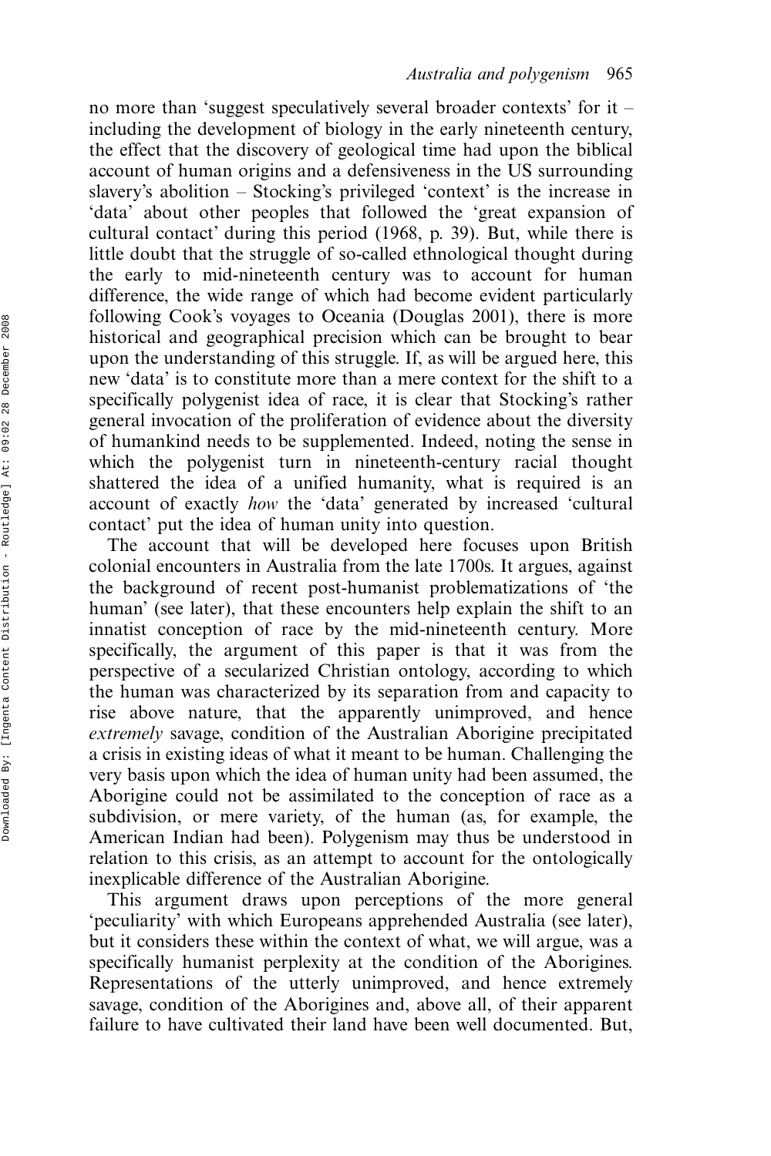no more than 'suggest speculatively several broader contexts' for it including the development of biology in the early nineteenth century, the effect that the discovery of geological time had upon the biblical account of human origins and a defensiveness in the US surrounding slavery's abolition  $-$  Stocking's privileged 'context' is the increase in 'data' about other peoples that followed the 'great expansion of cultural contact' during this period (1968, p. 39). But, while there is little doubt that the struggle of so-called ethnological thought during the early to mid-nineteenth century was to account for human difference, the wide range of which had become evident particularly following Cook's voyages to Oceania (Douglas 2001), there is more historical and geographical precision which can be brought to bear upon the understanding of this struggle. If, as will be argued here, this new 'data' is to constitute more than a mere context for the shift to a specifically polygenist idea of race, it is clear that Stocking's rather general invocation of the proliferation of evidence about the diversity of humankind needs to be supplemented. Indeed, noting the sense in which the polygenist turn in nineteenth-century racial thought shattered the idea of a unified humanity, what is required is an account of exactly how the 'data' generated by increased 'cultural contact' put the idea of human unity into question.

The account that will be developed here focuses upon British colonial encounters in Australia from the late 1700s. It argues, against the background of recent post-humanist problematizations of 'the human' (see later), that these encounters help explain the shift to an innatist conception of race by the mid-nineteenth century. More specifically, the argument of this paper is that it was from the perspective of a secularized Christian ontology, according to which the human was characterized by its separation from and capacity to rise above nature, that the apparently unimproved, and hence extremely savage, condition of the Australian Aborigine precipitated a crisis in existing ideas of what it meant to be human. Challenging the very basis upon which the idea of human unity had been assumed, the Aborigine could not be assimilated to the conception of race as a subdivision, or mere variety, of the human (as, for example, the American Indian had been). Polygenism may thus be understood in relation to this crisis, as an attempt to account for the ontologically inexplicable difference of the Australian Aborigine.

This argument draws upon perceptions of the more general 'peculiarity' with which Europeans apprehended Australia (see later), but it considers these within the context of what, we will argue, was a specifically humanist perplexity at the condition of the Aborigines. Representations of the utterly unimproved, and hence extremely savage, condition of the Aborigines and, above all, of their apparent failure to have cultivated their land have been well documented. But,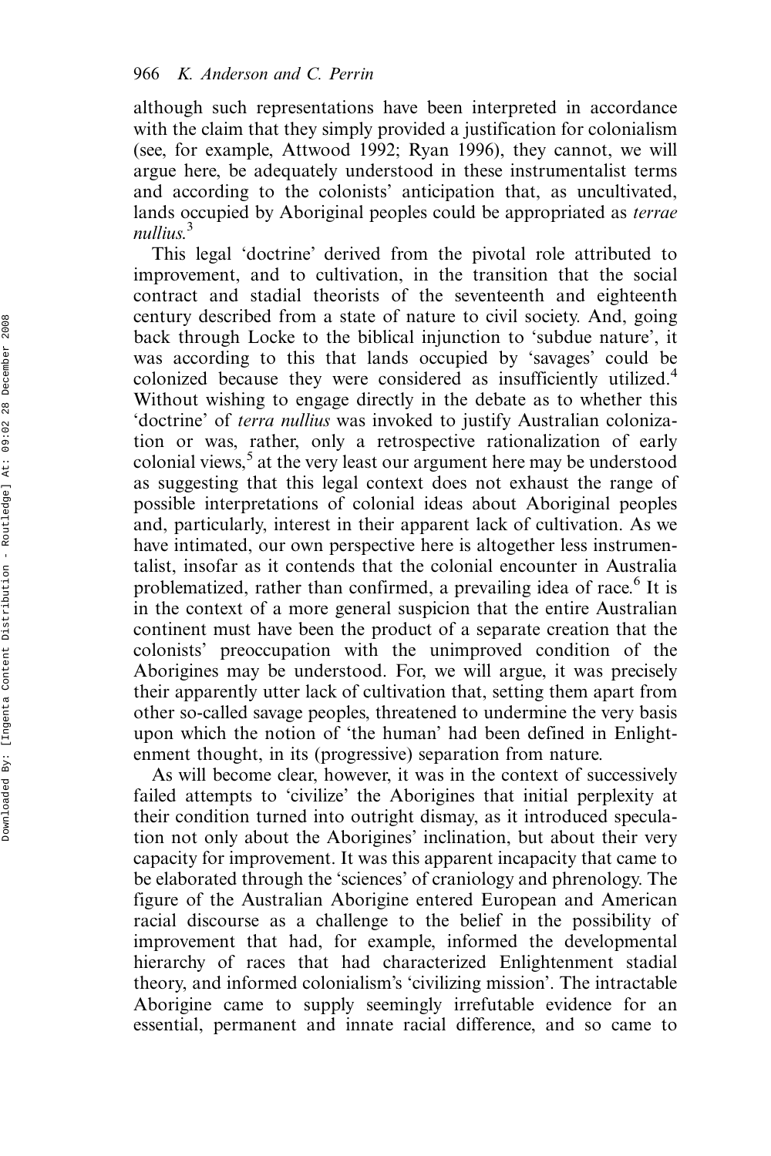although such representations have been interpreted in accordance with the claim that they simply provided a justification for colonialism (see, for example, Attwood 1992; Ryan 1996), they cannot, we will argue here, be adequately understood in these instrumentalist terms and according to the colonists' anticipation that, as uncultivated, lands occupied by Aboriginal peoples could be appropriated as terrae nullius.<sup>3</sup>

This legal 'doctrine' derived from the pivotal role attributed to improvement, and to cultivation, in the transition that the social contract and stadial theorists of the seventeenth and eighteenth century described from a state of nature to civil society. And, going back through Locke to the biblical injunction to 'subdue nature', it was according to this that lands occupied by 'savages' could be colonized because they were considered as insufficiently utilized.<sup>4</sup> Without wishing to engage directly in the debate as to whether this 'doctrine' of terra nullius was invoked to justify Australian colonization or was, rather, only a retrospective rationalization of early colonial views, $5$  at the very least our argument here may be understood as suggesting that this legal context does not exhaust the range of possible interpretations of colonial ideas about Aboriginal peoples and, particularly, interest in their apparent lack of cultivation. As we have intimated, our own perspective here is altogether less instrumentalist, insofar as it contends that the colonial encounter in Australia problematized, rather than confirmed, a prevailing idea of race.<sup>6</sup> It is in the context of a more general suspicion that the entire Australian continent must have been the product of a separate creation that the colonists' preoccupation with the unimproved condition of the Aborigines may be understood. For, we will argue, it was precisely their apparently utter lack of cultivation that, setting them apart from other so-called savage peoples, threatened to undermine the very basis upon which the notion of 'the human' had been defined in Enlightenment thought, in its (progressive) separation from nature.

As will become clear, however, it was in the context of successively failed attempts to 'civilize' the Aborigines that initial perplexity at their condition turned into outright dismay, as it introduced speculation not only about the Aborigines' inclination, but about their very capacity for improvement. It was this apparent incapacity that came to be elaborated through the 'sciences' of craniology and phrenology. The figure of the Australian Aborigine entered European and American racial discourse as a challenge to the belief in the possibility of improvement that had, for example, informed the developmental hierarchy of races that had characterized Enlightenment stadial theory, and informed colonialism's 'civilizing mission'. The intractable Aborigine came to supply seemingly irrefutable evidence for an essential, permanent and innate racial difference, and so came to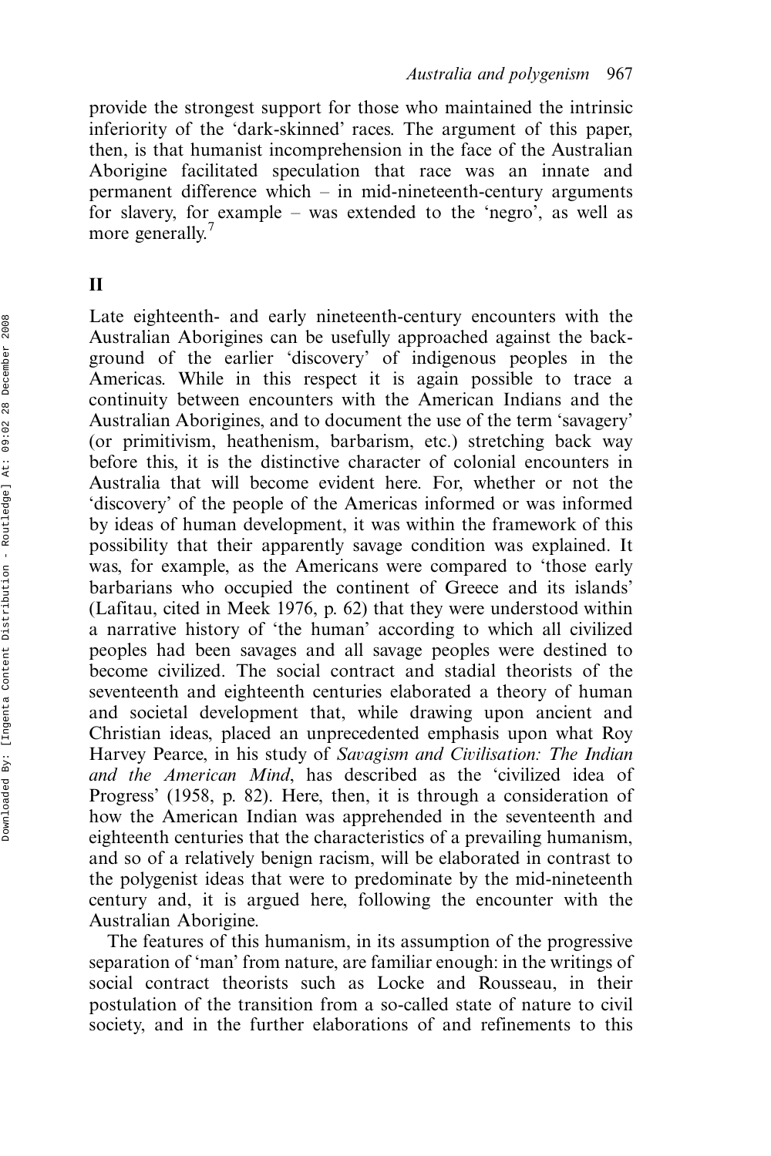provide the strongest support for those who maintained the intrinsic inferiority of the 'dark-skinned' races. The argument of this paper, then, is that humanist incomprehension in the face of the Australian Aborigine facilitated speculation that race was an innate and permanent difference which  $-$  in mid-nineteenth-century arguments for slavery, for example  $-$  was extended to the 'negro', as well as more generally.

# II

Late eighteenth- and early nineteenth-century encounters with the Australian Aborigines can be usefully approached against the background of the earlier 'discovery' of indigenous peoples in the Americas. While in this respect it is again possible to trace a continuity between encounters with the American Indians and the Australian Aborigines, and to document the use of the term 'savagery' (or primitivism, heathenism, barbarism, etc.) stretching back way before this, it is the distinctive character of colonial encounters in Australia that will become evident here. For, whether or not the 'discovery' of the people of the Americas informed or was informed by ideas of human development, it was within the framework of this possibility that their apparently savage condition was explained. It was, for example, as the Americans were compared to 'those early barbarians who occupied the continent of Greece and its islands' (Lafitau, cited in Meek 1976, p. 62) that they were understood within a narrative history of 'the human' according to which all civilized peoples had been savages and all savage peoples were destined to become civilized. The social contract and stadial theorists of the seventeenth and eighteenth centuries elaborated a theory of human and societal development that, while drawing upon ancient and Christian ideas, placed an unprecedented emphasis upon what Roy Harvey Pearce, in his study of Savagism and Civilisation: The Indian and the American Mind, has described as the 'civilized idea of Progress' (1958, p. 82). Here, then, it is through a consideration of how the American Indian was apprehended in the seventeenth and eighteenth centuries that the characteristics of a prevailing humanism, and so of a relatively benign racism, will be elaborated in contrast to the polygenist ideas that were to predominate by the mid-nineteenth century and, it is argued here, following the encounter with the Australian Aborigine.

The features of this humanism, in its assumption of the progressive separation of 'man' from nature, are familiar enough: in the writings of social contract theorists such as Locke and Rousseau, in their postulation of the transition from a so-called state of nature to civil society, and in the further elaborations of and refinements to this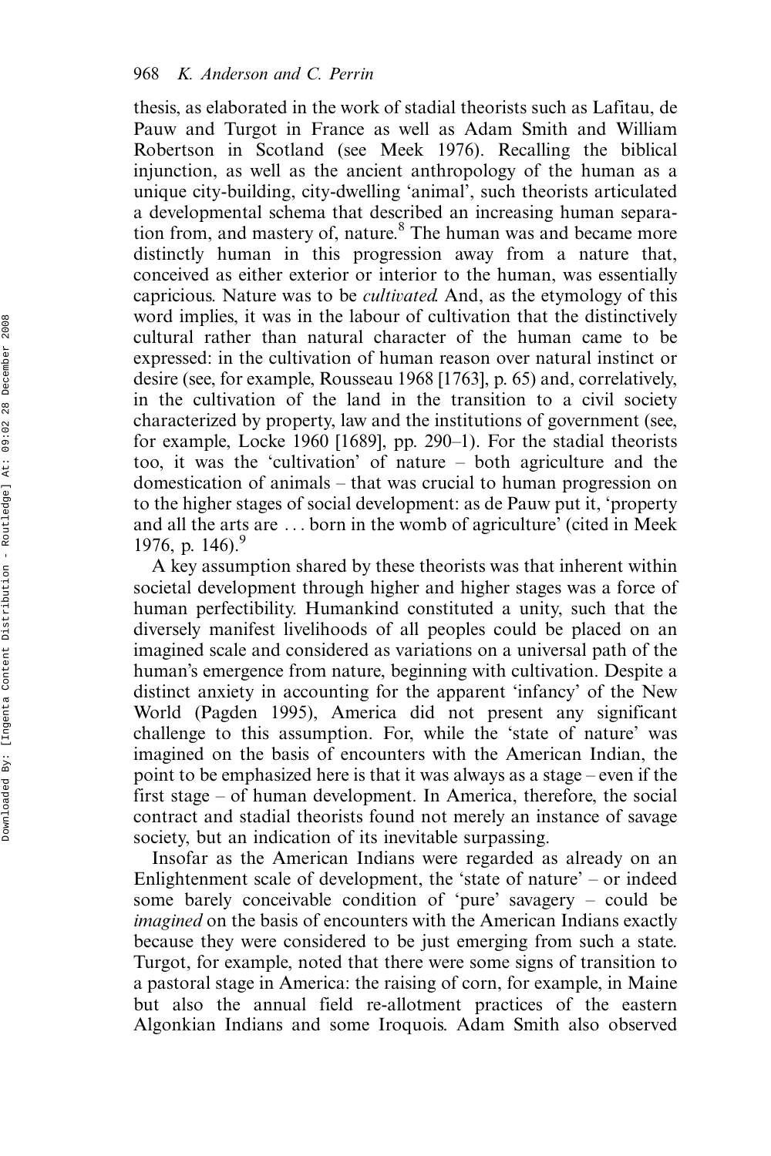thesis, as elaborated in the work of stadial theorists such as Lafitau, de Pauw and Turgot in France as well as Adam Smith and William Robertson in Scotland (see Meek 1976). Recalling the biblical injunction, as well as the ancient anthropology of the human as a unique city-building, city-dwelling 'animal', such theorists articulated a developmental schema that described an increasing human separation from, and mastery of, nature. $8$  The human was and became more distinctly human in this progression away from a nature that, conceived as either exterior or interior to the human, was essentially capricious. Nature was to be cultivated. And, as the etymology of this word implies, it was in the labour of cultivation that the distinctively cultural rather than natural character of the human came to be expressed: in the cultivation of human reason over natural instinct or desire (see, for example, Rousseau 1968 [1763], p. 65) and, correlatively, in the cultivation of the land in the transition to a civil society characterized by property, law and the institutions of government (see, for example, Locke 1960 [1689], pp. 290–1). For the stadial theorists too, it was the 'cultivation' of nature  $-$  both agriculture and the domestication of animals – that was crucial to human progression on to the higher stages of social development: as de Pauw put it, 'property and all the arts are ... born in the womb of agriculture' (cited in Meek 1976, p. 146).

A key assumption shared by these theorists was that inherent within societal development through higher and higher stages was a force of human perfectibility. Humankind constituted a unity, such that the diversely manifest livelihoods of all peoples could be placed on an imagined scale and considered as variations on a universal path of the human's emergence from nature, beginning with cultivation. Despite a distinct anxiety in accounting for the apparent 'infancy' of the New World (Pagden 1995), America did not present any significant challenge to this assumption. For, while the 'state of nature' was imagined on the basis of encounters with the American Indian, the point to be emphasized here is that it was always as a stage  $-$  even if the first stage  $-$  of human development. In America, therefore, the social contract and stadial theorists found not merely an instance of savage society, but an indication of its inevitable surpassing.

Insofar as the American Indians were regarded as already on an Enlightenment scale of development, the 'state of nature'  $-$  or indeed some barely conceivable condition of 'pure' savagery – could be imagined on the basis of encounters with the American Indians exactly because they were considered to be just emerging from such a state. Turgot, for example, noted that there were some signs of transition to a pastoral stage in America: the raising of corn, for example, in Maine but also the annual field re-allotment practices of the eastern Algonkian Indians and some Iroquois. Adam Smith also observed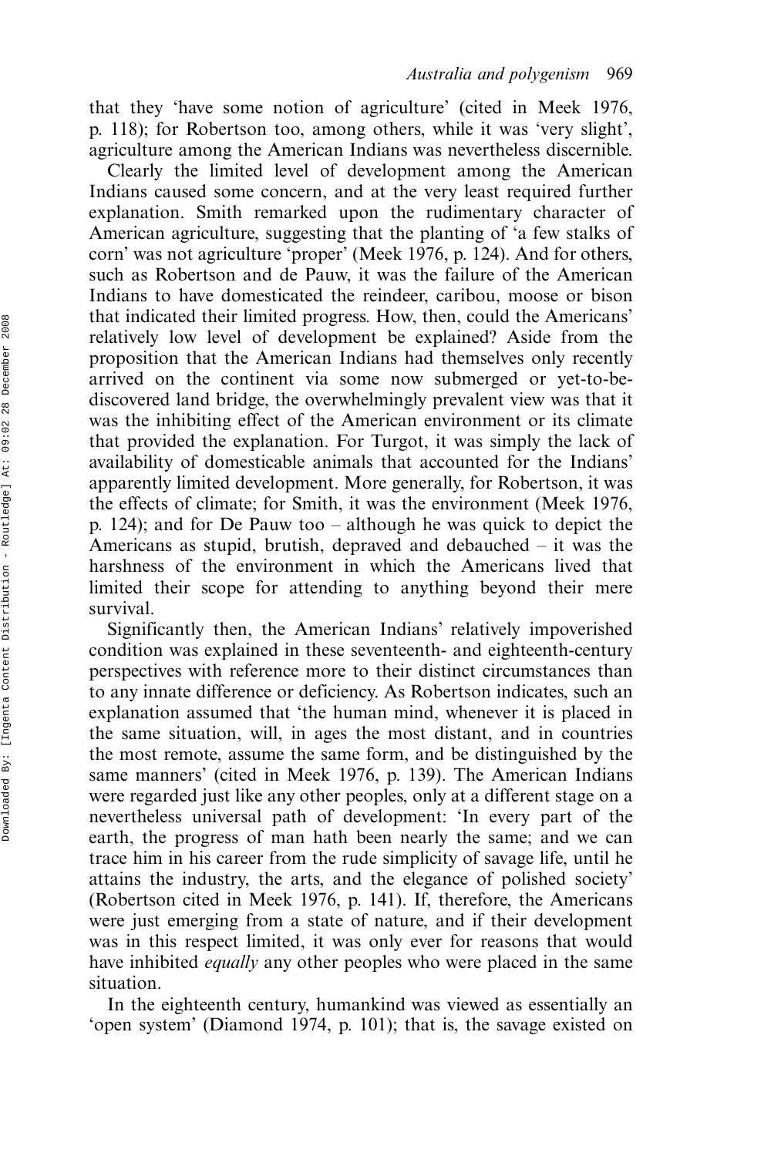that they 'have some notion of agriculture' (cited in Meek 1976, p. 118); for Robertson too, among others, while it was 'very slight', agriculture among the American Indians was nevertheless discernible.

Clearly the limited level of development among the American Indians caused some concern, and at the very least required further explanation. Smith remarked upon the rudimentary character of American agriculture, suggesting that the planting of 'a few stalks of corn' was not agriculture 'proper' (Meek 1976, p. 124). And for others, such as Robertson and de Pauw, it was the failure of the American Indians to have domesticated the reindeer, caribou, moose or bison that indicated their limited progress. How, then, could the Americans' relatively low level of development be explained? Aside from the proposition that the American Indians had themselves only recently arrived on the continent via some now submerged or yet-to-bediscovered land bridge, the overwhelmingly prevalent view was that it was the inhibiting effect of the American environment or its climate that provided the explanation. For Turgot, it was simply the lack of availability of domesticable animals that accounted for the Indians' apparently limited development. More generally, for Robertson, it was the effects of climate; for Smith, it was the environment (Meek 1976, p. 124); and for De Pauw too  $-$  although he was quick to depict the Americans as stupid, brutish, depraved and debauched  $-$  it was the harshness of the environment in which the Americans lived that limited their scope for attending to anything beyond their mere survival.

Significantly then, the American Indians' relatively impoverished condition was explained in these seventeenth- and eighteenth-century perspectives with reference more to their distinct circumstances than to any innate difference or deficiency. As Robertson indicates, such an explanation assumed that 'the human mind, whenever it is placed in the same situation, will, in ages the most distant, and in countries the most remote, assume the same form, and be distinguished by the same manners' (cited in Meek 1976, p. 139). The American Indians were regarded just like any other peoples, only at a different stage on a nevertheless universal path of development: 'In every part of the earth, the progress of man hath been nearly the same; and we can trace him in his career from the rude simplicity of savage life, until he attains the industry, the arts, and the elegance of polished society' (Robertson cited in Meek 1976, p. 141). If, therefore, the Americans were just emerging from a state of nature, and if their development was in this respect limited, it was only ever for reasons that would have inhibited *equally* any other peoples who were placed in the same situation.

In the eighteenth century, humankind was viewed as essentially an 'open system' (Diamond 1974, p. 101); that is, the savage existed on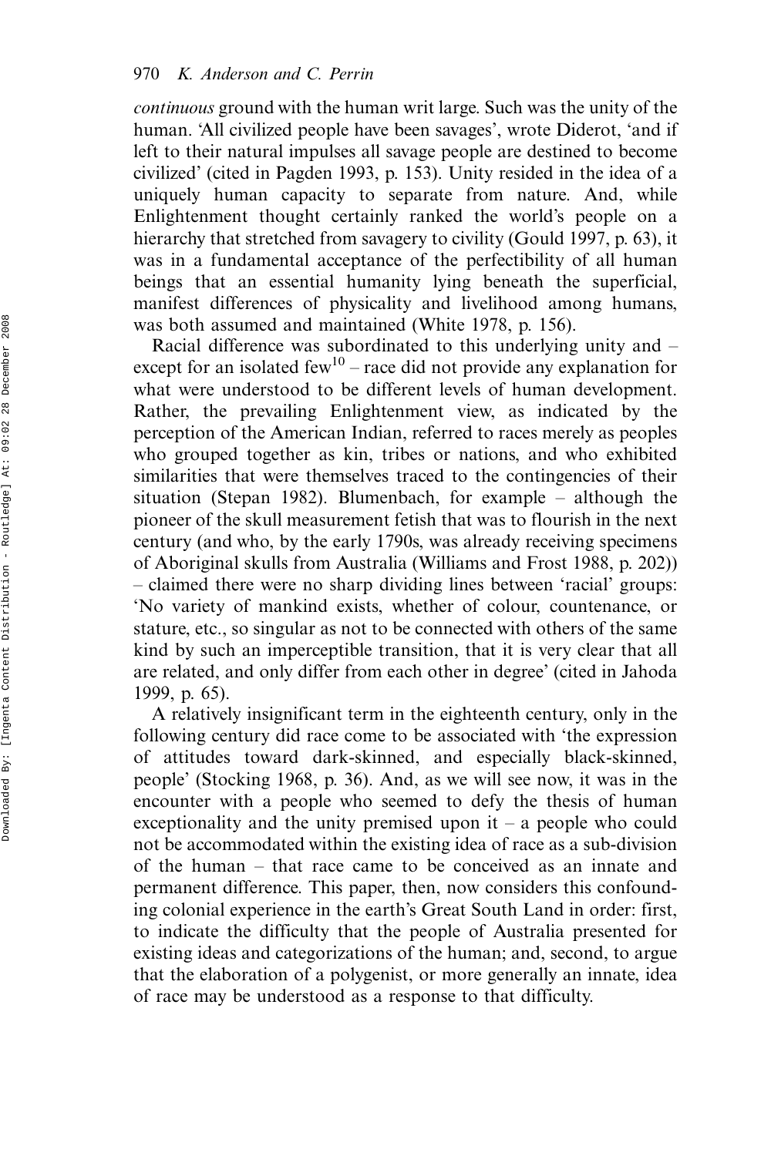continuous ground with the human writ large. Such was the unity of the human. 'All civilized people have been savages', wrote Diderot, 'and if left to their natural impulses all savage people are destined to become civilized' (cited in Pagden 1993, p. 153). Unity resided in the idea of a uniquely human capacity to separate from nature. And, while Enlightenment thought certainly ranked the world's people on a hierarchy that stretched from savagery to civility (Gould 1997, p. 63), it was in a fundamental acceptance of the perfectibility of all human beings that an essential humanity lying beneath the superficial, manifest differences of physicality and livelihood among humans, was both assumed and maintained (White 1978, p. 156).

Racial difference was subordinated to this underlying unity and except for an isolated few<sup>10</sup> – race did not provide any explanation for what were understood to be different levels of human development. Rather, the prevailing Enlightenment view, as indicated by the perception of the American Indian, referred to races merely as peoples who grouped together as kin, tribes or nations, and who exhibited similarities that were themselves traced to the contingencies of their situation (Stepan 1982). Blumenbach, for example  $-$  although the pioneer of the skull measurement fetish that was to flourish in the next century (and who, by the early 1790s, was already receiving specimens of Aboriginal skulls from Australia (Williams and Frost 1988, p. 202)) - claimed there were no sharp dividing lines between 'racial' groups: 'No variety of mankind exists, whether of colour, countenance, or stature, etc., so singular as not to be connected with others of the same kind by such an imperceptible transition, that it is very clear that all are related, and only differ from each other in degree' (cited in Jahoda 1999, p. 65).

A relatively insignificant term in the eighteenth century, only in the following century did race come to be associated with 'the expression of attitudes toward dark-skinned, and especially black-skinned, people' (Stocking 1968, p. 36). And, as we will see now, it was in the encounter with a people who seemed to defy the thesis of human exceptionality and the unity premised upon it  $-$  a people who could not be accommodated within the existing idea of race as a sub-division of the human  $-$  that race came to be conceived as an innate and permanent difference. This paper, then, now considers this confounding colonial experience in the earth's Great South Land in order: first, to indicate the difficulty that the people of Australia presented for existing ideas and categorizations of the human; and, second, to argue that the elaboration of a polygenist, or more generally an innate, idea of race may be understood as a response to that difficulty.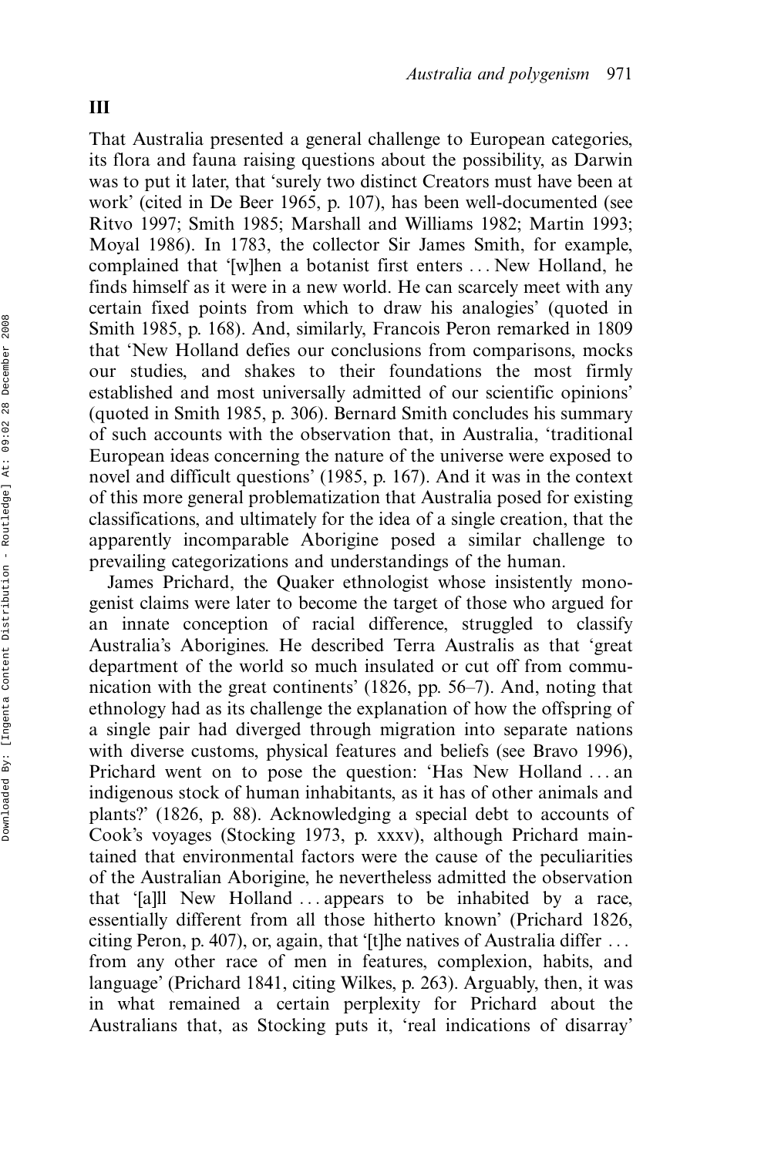That Australia presented a general challenge to European categories, its flora and fauna raising questions about the possibility, as Darwin was to put it later, that 'surely two distinct Creators must have been at work' (cited in De Beer 1965, p. 107), has been well-documented (see Ritvo 1997; Smith 1985; Marshall and Williams 1982; Martin 1993; Moyal 1986). In 1783, the collector Sir James Smith, for example, complained that '[w]hen a botanist first enters ... New Holland, he finds himself as it were in a new world. He can scarcely meet with any certain fixed points from which to draw his analogies' (quoted in Smith 1985, p. 168). And, similarly, Francois Peron remarked in 1809 that 'New Holland defies our conclusions from comparisons, mocks our studies, and shakes to their foundations the most firmly established and most universally admitted of our scientific opinions' (quoted in Smith 1985, p. 306). Bernard Smith concludes his summary of such accounts with the observation that, in Australia, 'traditional European ideas concerning the nature of the universe were exposed to novel and difficult questions' (1985, p. 167). And it was in the context of this more general problematization that Australia posed for existing classifications, and ultimately for the idea of a single creation, that the apparently incomparable Aborigine posed a similar challenge to prevailing categorizations and understandings of the human.

James Prichard, the Quaker ethnologist whose insistently monogenist claims were later to become the target of those who argued for an innate conception of racial difference, struggled to classify Australia's Aborigines. He described Terra Australis as that 'great department of the world so much insulated or cut off from communication with the great continents'  $(1826, pp. 56-7)$ . And, noting that ethnology had as its challenge the explanation of how the offspring of a single pair had diverged through migration into separate nations with diverse customs, physical features and beliefs (see Bravo 1996), Prichard went on to pose the question: 'Has New Holland ... an indigenous stock of human inhabitants, as it has of other animals and plants?' (1826, p. 88). Acknowledging a special debt to accounts of Cook's voyages (Stocking 1973, p. xxxv), although Prichard maintained that environmental factors were the cause of the peculiarities of the Australian Aborigine, he nevertheless admitted the observation that '[a]ll New Holland ... appears to be inhabited by a race, essentially different from all those hitherto known' (Prichard 1826, citing Peron, p. 407), or, again, that '[t]he natives of Australia differ ... from any other race of men in features, complexion, habits, and language' (Prichard 1841, citing Wilkes, p. 263). Arguably, then, it was in what remained a certain perplexity for Prichard about the Australians that, as Stocking puts it, 'real indications of disarray'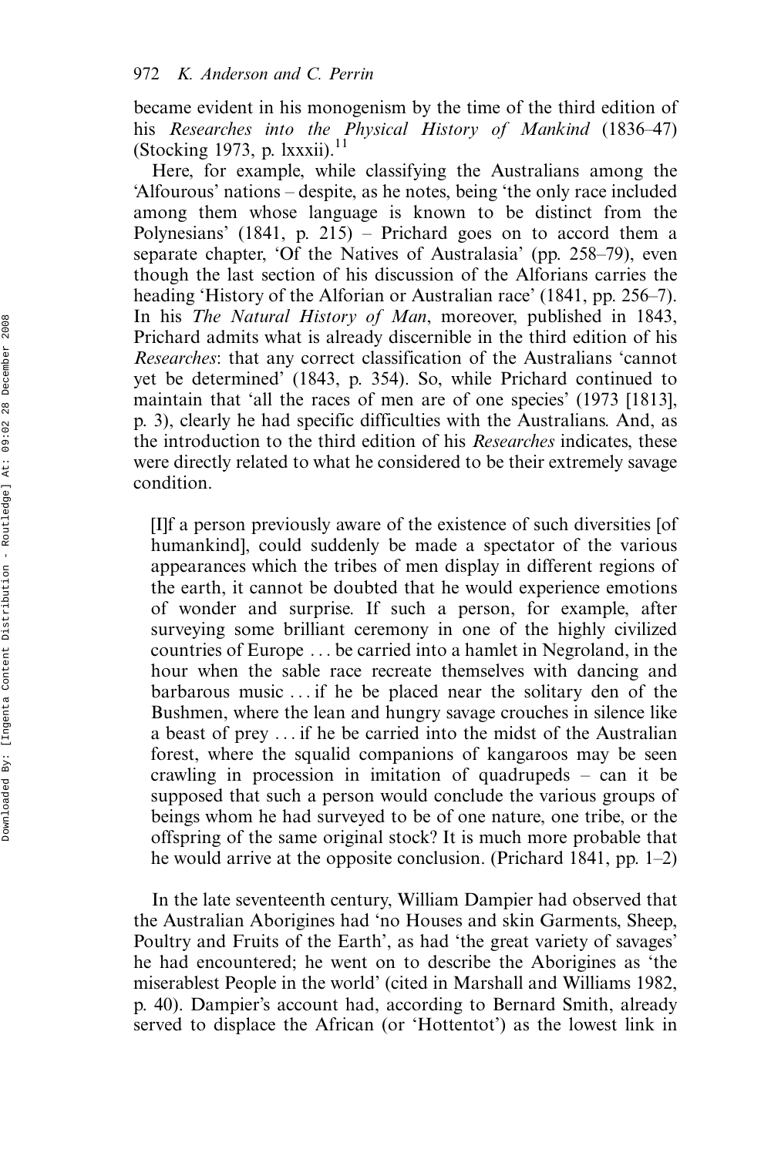became evident in his monogenism by the time of the third edition of his Researches into the Physical History of Mankind (1836–47) (Stocking 1973, p. lxxxii).<sup>11</sup>

Here, for example, while classifying the Australians among the 'Alfourous' nations despite, as he notes, being 'the only race included among them whose language is known to be distinct from the Polynesians'  $(1841, p. 215)$  – Prichard goes on to accord them a separate chapter, 'Of the Natives of Australasia' (pp. 258–79), even though the last section of his discussion of the Alforians carries the heading 'History of the Alforian or Australian race' (1841, pp. 256–7). In his The Natural History of Man, moreover, published in 1843, Prichard admits what is already discernible in the third edition of his Researches: that any correct classification of the Australians 'cannot yet be determined' (1843, p. 354). So, while Prichard continued to maintain that 'all the races of men are of one species' (1973 [1813], p. 3), clearly he had specific difficulties with the Australians. And, as the introduction to the third edition of his Researches indicates, these were directly related to what he considered to be their extremely savage condition.

[I]f a person previously aware of the existence of such diversities [of humankind], could suddenly be made a spectator of the various appearances which the tribes of men display in different regions of the earth, it cannot be doubted that he would experience emotions of wonder and surprise. If such a person, for example, after surveying some brilliant ceremony in one of the highly civilized countries of Europe ... be carried into a hamlet in Negroland, in the hour when the sable race recreate themselves with dancing and barbarous music ... if he be placed near the solitary den of the Bushmen, where the lean and hungry savage crouches in silence like a beast of prey ... if he be carried into the midst of the Australian forest, where the squalid companions of kangaroos may be seen crawling in procession in imitation of quadrupeds  $-$  can it be supposed that such a person would conclude the various groups of beings whom he had surveyed to be of one nature, one tribe, or the offspring of the same original stock? It is much more probable that he would arrive at the opposite conclusion. (Prichard 1841, pp.  $1-2$ )

In the late seventeenth century, William Dampier had observed that the Australian Aborigines had 'no Houses and skin Garments, Sheep, Poultry and Fruits of the Earth', as had 'the great variety of savages' he had encountered; he went on to describe the Aborigines as 'the miserablest People in the world' (cited in Marshall and Williams 1982, p. 40). Dampier's account had, according to Bernard Smith, already served to displace the African (or 'Hottentot') as the lowest link in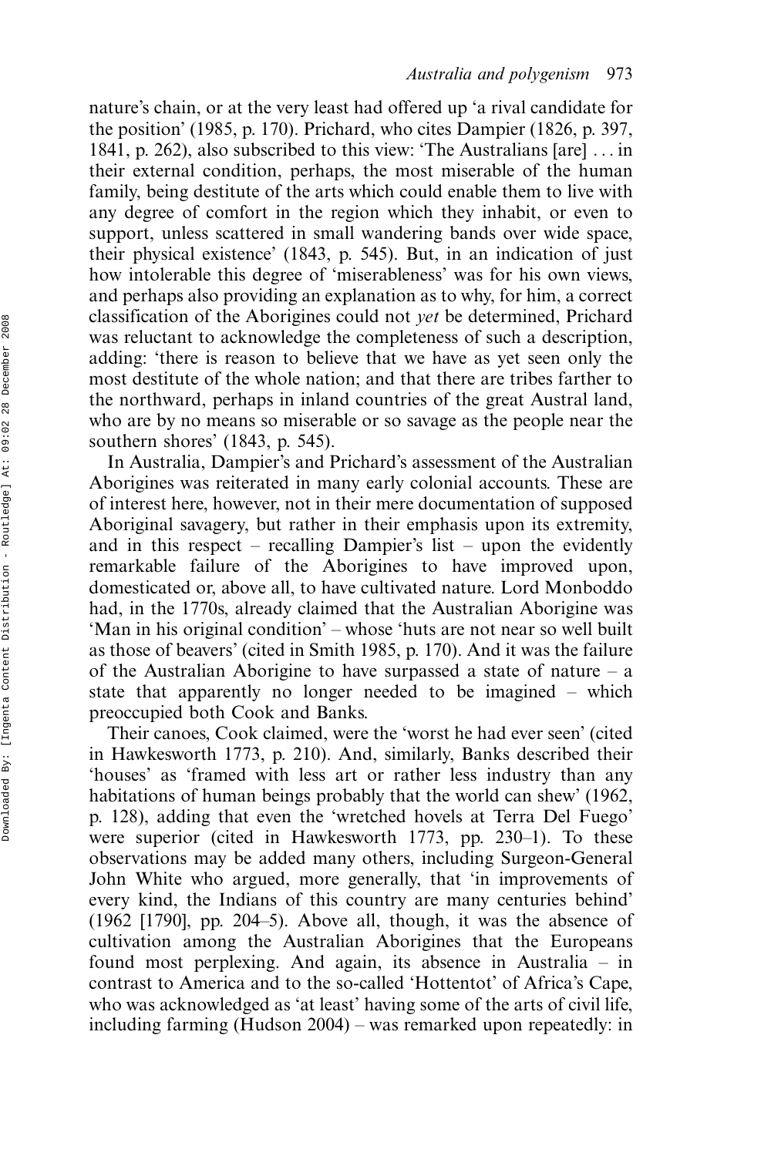nature's chain, or at the very least had offered up 'a rival candidate for the position' (1985, p. 170). Prichard, who cites Dampier (1826, p. 397, 1841, p. 262), also subscribed to this view: 'The Australians [are] ... in their external condition, perhaps, the most miserable of the human family, being destitute of the arts which could enable them to live with any degree of comfort in the region which they inhabit, or even to support, unless scattered in small wandering bands over wide space, their physical existence' (1843, p. 545). But, in an indication of just how intolerable this degree of 'miserableness' was for his own views, and perhaps also providing an explanation as to why, for him, a correct classification of the Aborigines could not yet be determined, Prichard was reluctant to acknowledge the completeness of such a description, adding: 'there is reason to believe that we have as yet seen only the most destitute of the whole nation; and that there are tribes farther to the northward, perhaps in inland countries of the great Austral land, who are by no means so miserable or so savage as the people near the southern shores' (1843, p. 545).

In Australia, Dampier's and Prichard's assessment of the Australian Aborigines was reiterated in many early colonial accounts. These are of interest here, however, not in their mere documentation of supposed Aboriginal savagery, but rather in their emphasis upon its extremity, and in this respect – recalling Dampier's list – upon the evidently remarkable failure of the Aborigines to have improved upon, domesticated or, above all, to have cultivated nature. Lord Monboddo had, in the 1770s, already claimed that the Australian Aborigine was 'Man in his original condition' whose 'huts are not near so well built as those of beavers' (cited in Smith 1985, p. 170). And it was the failure of the Australian Aborigine to have surpassed a state of nature  $-$  a state that apparently no longer needed to be imagined  $-$  which preoccupied both Cook and Banks.

Their canoes, Cook claimed, were the 'worst he had ever seen' (cited in Hawkesworth 1773, p. 210). And, similarly, Banks described their 'houses' as 'framed with less art or rather less industry than any habitations of human beings probably that the world can shew' (1962, p. 128), adding that even the 'wretched hovels at Terra Del Fuego' were superior (cited in Hawkesworth 1773, pp.  $230-1$ ). To these observations may be added many others, including Surgeon-General John White who argued, more generally, that 'in improvements of every kind, the Indians of this country are many centuries behind'  $(1962 \t[1790], \text{pp. } 204-5)$ . Above all, though, it was the absence of cultivation among the Australian Aborigines that the Europeans found most perplexing. And again, its absence in Australia  $-$  in contrast to America and to the so-called 'Hottentot' of Africa's Cape, who was acknowledged as 'at least' having some of the arts of civil life, including farming (Hudson  $2004$ ) – was remarked upon repeatedly: in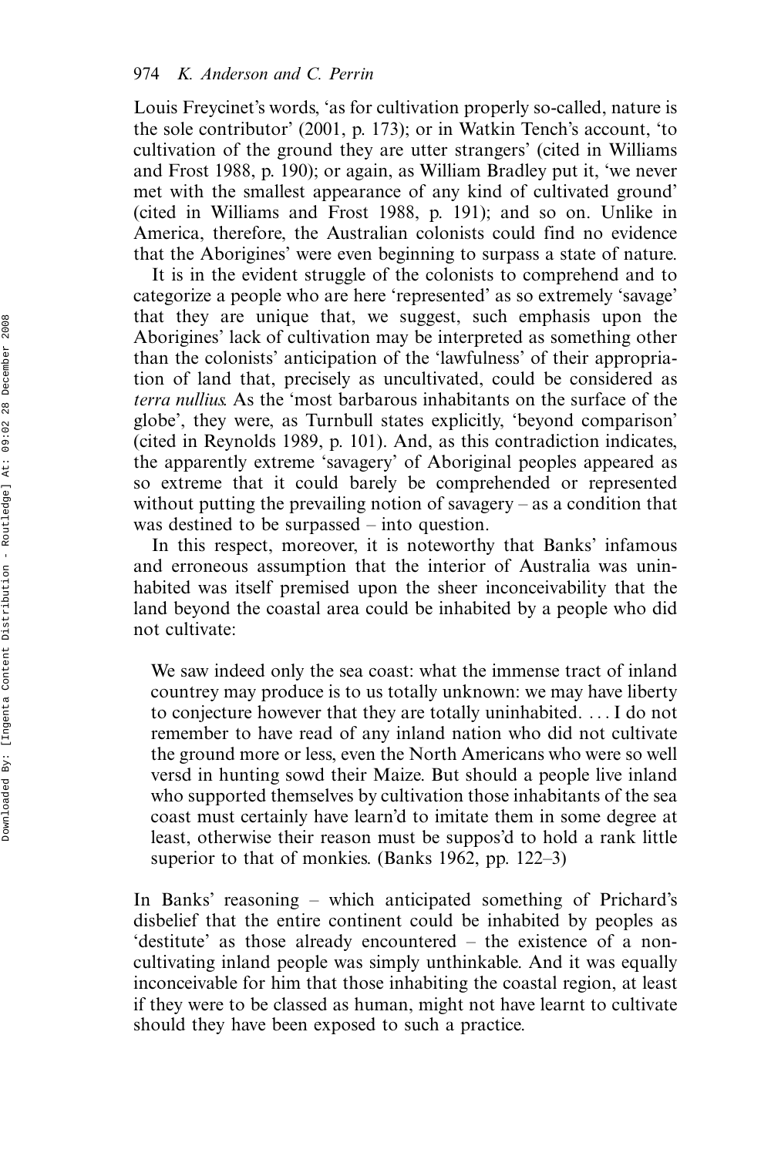Louis Freycinet's words, 'as for cultivation properly so-called, nature is the sole contributor' (2001, p. 173); or in Watkin Tench's account, 'to cultivation of the ground they are utter strangers' (cited in Williams and Frost 1988, p. 190); or again, as William Bradley put it, 'we never met with the smallest appearance of any kind of cultivated ground' (cited in Williams and Frost 1988, p. 191); and so on. Unlike in America, therefore, the Australian colonists could find no evidence that the Aborigines' were even beginning to surpass a state of nature.

It is in the evident struggle of the colonists to comprehend and to categorize a people who are here 'represented' as so extremely 'savage' that they are unique that, we suggest, such emphasis upon the Aborigines' lack of cultivation may be interpreted as something other than the colonists' anticipation of the 'lawfulness' of their appropriation of land that, precisely as uncultivated, could be considered as terra nullius. As the 'most barbarous inhabitants on the surface of the globe', they were, as Turnbull states explicitly, 'beyond comparison' (cited in Reynolds 1989, p. 101). And, as this contradiction indicates, the apparently extreme 'savagery' of Aboriginal peoples appeared as so extreme that it could barely be comprehended or represented without putting the prevailing notion of savagery  $-$  as a condition that was destined to be surpassed  $-$  into question.

In this respect, moreover, it is noteworthy that Banks' infamous and erroneous assumption that the interior of Australia was uninhabited was itself premised upon the sheer inconceivability that the land beyond the coastal area could be inhabited by a people who did not cultivate:

We saw indeed only the sea coast: what the immense tract of inland countrey may produce is to us totally unknown: we may have liberty to conjecture however that they are totally uninhabited. ... I do not remember to have read of any inland nation who did not cultivate the ground more or less, even the North Americans who were so well versd in hunting sowd their Maize. But should a people live inland who supported themselves by cultivation those inhabitants of the sea coast must certainly have learn'd to imitate them in some degree at least, otherwise their reason must be suppos'd to hold a rank little superior to that of monkies. (Banks 1962, pp. 122-3)

In Banks' reasoning  $-$  which anticipated something of Prichard's disbelief that the entire continent could be inhabited by peoples as 'destitute' as those already encountered – the existence of a noncultivating inland people was simply unthinkable. And it was equally inconceivable for him that those inhabiting the coastal region, at least if they were to be classed as human, might not have learnt to cultivate should they have been exposed to such a practice.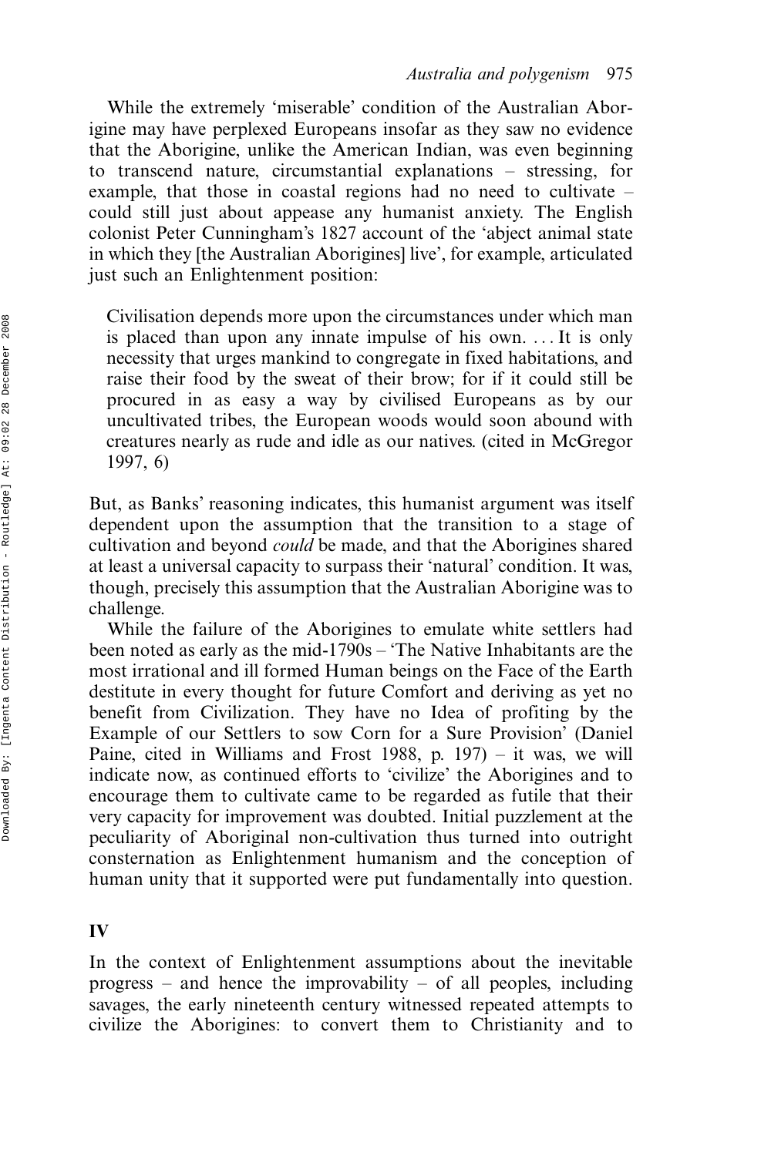While the extremely 'miserable' condition of the Australian Aborigine may have perplexed Europeans insofar as they saw no evidence that the Aborigine, unlike the American Indian, was even beginning to transcend nature, circumstantial explanations  $-$  stressing, for example, that those in coastal regions had no need to cultivate – could still just about appease any humanist anxiety. The English colonist Peter Cunningham's 1827 account of the 'abject animal state in which they [the Australian Aborigines] live', for example, articulated just such an Enlightenment position:

Civilisation depends more upon the circumstances under which man is placed than upon any innate impulse of his own. ... It is only necessity that urges mankind to congregate in fixed habitations, and raise their food by the sweat of their brow; for if it could still be procured in as easy a way by civilised Europeans as by our uncultivated tribes, the European woods would soon abound with creatures nearly as rude and idle as our natives. (cited in McGregor 1997, 6)

But, as Banks' reasoning indicates, this humanist argument was itself dependent upon the assumption that the transition to a stage of cultivation and beyond could be made, and that the Aborigines shared at least a universal capacity to surpass their 'natural' condition. It was, though, precisely this assumption that the Australian Aborigine was to challenge.

While the failure of the Aborigines to emulate white settlers had been noted as early as the mid-1790s – 'The Native Inhabitants are the most irrational and ill formed Human beings on the Face of the Earth destitute in every thought for future Comfort and deriving as yet no benefit from Civilization. They have no Idea of profiting by the Example of our Settlers to sow Corn for a Sure Provision' (Daniel Paine, cited in Williams and Frost 1988, p.  $197$ ) – it was, we will indicate now, as continued efforts to 'civilize' the Aborigines and to encourage them to cultivate came to be regarded as futile that their very capacity for improvement was doubted. Initial puzzlement at the peculiarity of Aboriginal non-cultivation thus turned into outright consternation as Enlightenment humanism and the conception of human unity that it supported were put fundamentally into question.

### IV

In the context of Enlightenment assumptions about the inevitable progress – and hence the improvability – of all peoples, including savages, the early nineteenth century witnessed repeated attempts to civilize the Aborigines: to convert them to Christianity and to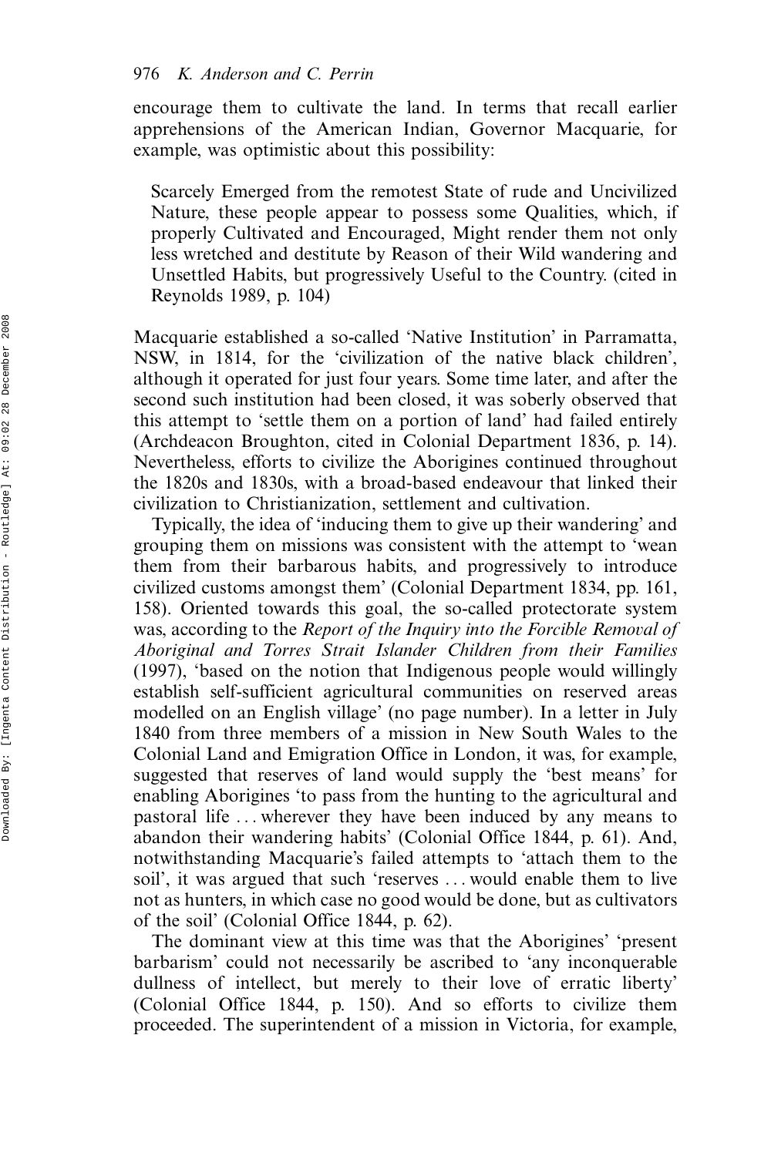encourage them to cultivate the land. In terms that recall earlier apprehensions of the American Indian, Governor Macquarie, for example, was optimistic about this possibility:

Scarcely Emerged from the remotest State of rude and Uncivilized Nature, these people appear to possess some Qualities, which, if properly Cultivated and Encouraged, Might render them not only less wretched and destitute by Reason of their Wild wandering and Unsettled Habits, but progressively Useful to the Country. (cited in Reynolds 1989, p. 104)

Macquarie established a so-called 'Native Institution' in Parramatta, NSW, in 1814, for the 'civilization of the native black children', although it operated for just four years. Some time later, and after the second such institution had been closed, it was soberly observed that this attempt to 'settle them on a portion of land' had failed entirely (Archdeacon Broughton, cited in Colonial Department 1836, p. 14). Nevertheless, efforts to civilize the Aborigines continued throughout the 1820s and 1830s, with a broad-based endeavour that linked their civilization to Christianization, settlement and cultivation.

Typically, the idea of 'inducing them to give up their wandering' and grouping them on missions was consistent with the attempt to 'wean them from their barbarous habits, and progressively to introduce civilized customs amongst them' (Colonial Department 1834, pp. 161, 158). Oriented towards this goal, the so-called protectorate system was, according to the Report of the Inquiry into the Forcible Removal of Aboriginal and Torres Strait Islander Children from their Families (1997), 'based on the notion that Indigenous people would willingly establish self-sufficient agricultural communities on reserved areas modelled on an English village' (no page number). In a letter in July 1840 from three members of a mission in New South Wales to the Colonial Land and Emigration Office in London, it was, for example, suggested that reserves of land would supply the 'best means' for enabling Aborigines 'to pass from the hunting to the agricultural and pastoral life ... wherever they have been induced by any means to abandon their wandering habits' (Colonial Office 1844, p. 61). And, notwithstanding Macquarie's failed attempts to 'attach them to the soil', it was argued that such 'reserves ... would enable them to live not as hunters, in which case no good would be done, but as cultivators of the soil' (Colonial Office 1844, p. 62).

The dominant view at this time was that the Aborigines' 'present barbarism' could not necessarily be ascribed to 'any inconquerable dullness of intellect, but merely to their love of erratic liberty' (Colonial Office 1844, p. 150). And so efforts to civilize them proceeded. The superintendent of a mission in Victoria, for example,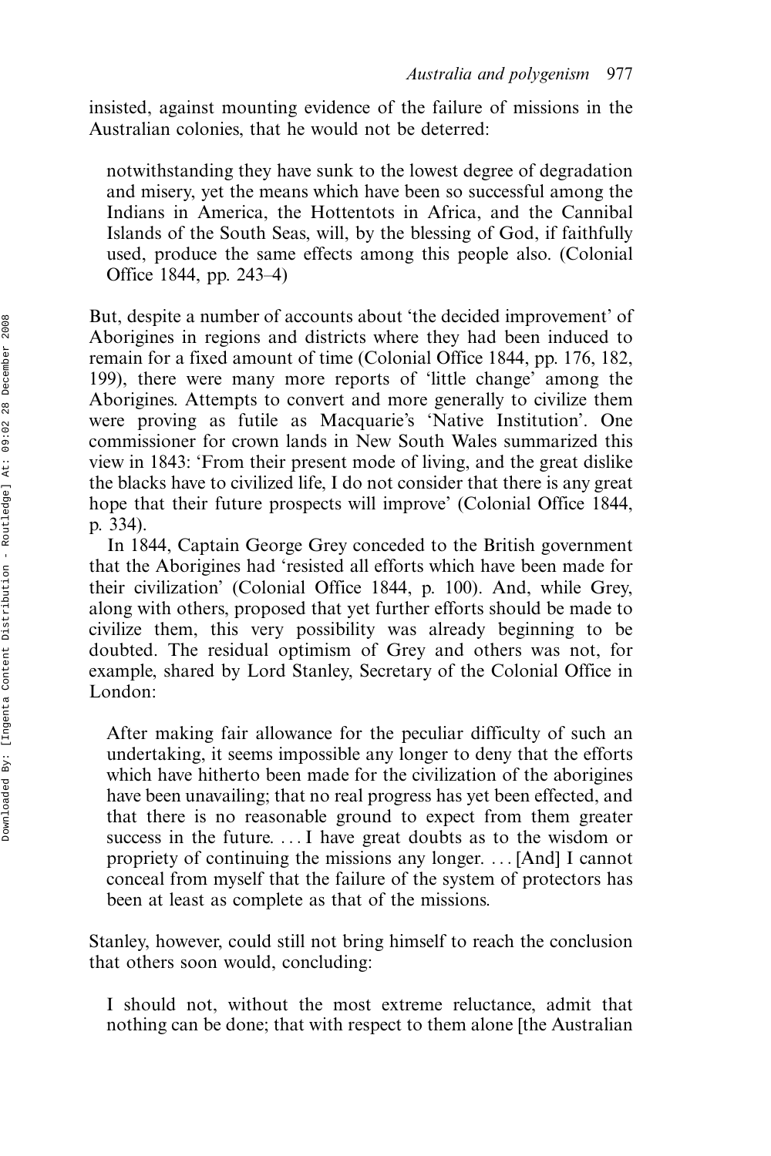insisted, against mounting evidence of the failure of missions in the Australian colonies, that he would not be deterred:

notwithstanding they have sunk to the lowest degree of degradation and misery, yet the means which have been so successful among the Indians in America, the Hottentots in Africa, and the Cannibal Islands of the South Seas, will, by the blessing of God, if faithfully used, produce the same effects among this people also. (Colonial Office 1844, pp. 243–4)

But, despite a number of accounts about 'the decided improvement' of Aborigines in regions and districts where they had been induced to remain for a fixed amount of time (Colonial Office 1844, pp. 176, 182, 199), there were many more reports of 'little change' among the Aborigines. Attempts to convert and more generally to civilize them were proving as futile as Macquarie's 'Native Institution'. One commissioner for crown lands in New South Wales summarized this view in 1843: 'From their present mode of living, and the great dislike the blacks have to civilized life, I do not consider that there is any great hope that their future prospects will improve' (Colonial Office 1844, p. 334).

In 1844, Captain George Grey conceded to the British government that the Aborigines had 'resisted all efforts which have been made for their civilization' (Colonial Office 1844, p. 100). And, while Grey, along with others, proposed that yet further efforts should be made to civilize them, this very possibility was already beginning to be doubted. The residual optimism of Grey and others was not, for example, shared by Lord Stanley, Secretary of the Colonial Office in London:

After making fair allowance for the peculiar difficulty of such an undertaking, it seems impossible any longer to deny that the efforts which have hitherto been made for the civilization of the aborigines have been unavailing; that no real progress has yet been effected, and that there is no reasonable ground to expect from them greater success in the future. ... I have great doubts as to the wisdom or propriety of continuing the missions any longer. ... [And] I cannot conceal from myself that the failure of the system of protectors has been at least as complete as that of the missions.

Stanley, however, could still not bring himself to reach the conclusion that others soon would, concluding:

I should not, without the most extreme reluctance, admit that nothing can be done; that with respect to them alone [the Australian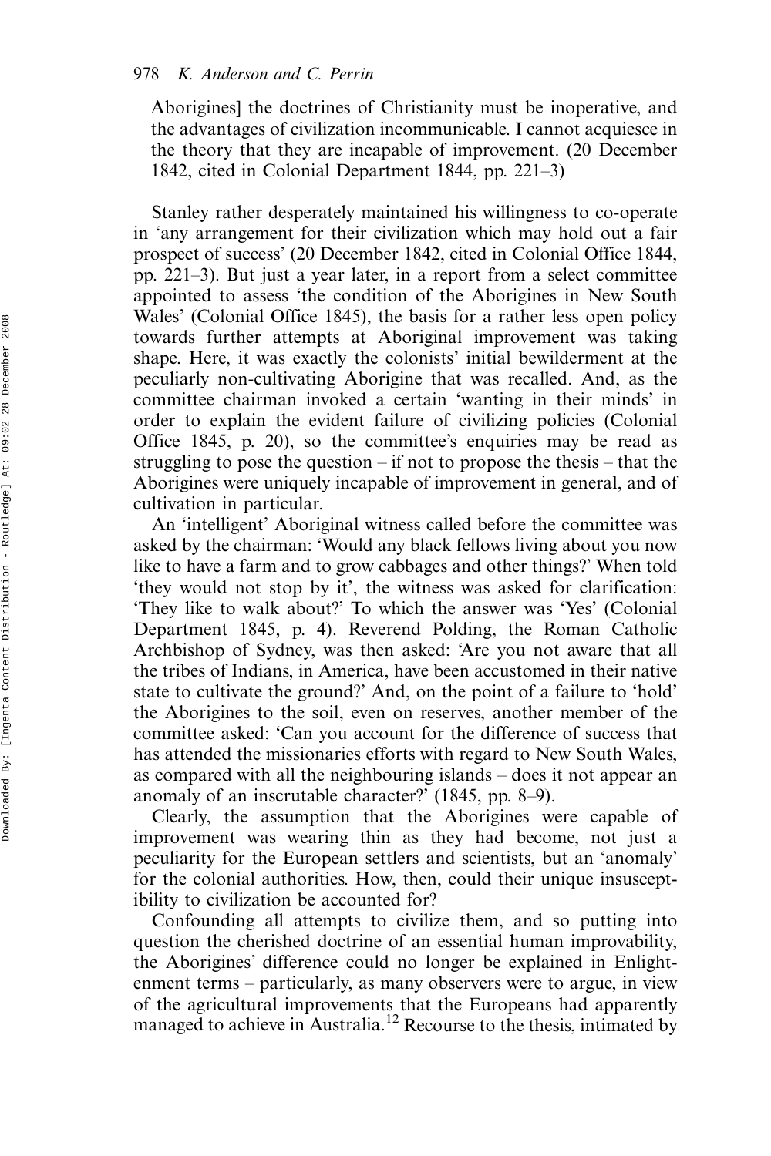Aborigines] the doctrines of Christianity must be inoperative, and the advantages of civilization incommunicable. I cannot acquiesce in the theory that they are incapable of improvement. (20 December 1842, cited in Colonial Department 1844, pp. 221–3)

Stanley rather desperately maintained his willingness to co-operate in 'any arrangement for their civilization which may hold out a fair prospect of success' (20 December 1842, cited in Colonial Office 1844, pp.  $221-3$ ). But just a year later, in a report from a select committee appointed to assess 'the condition of the Aborigines in New South Wales' (Colonial Office 1845), the basis for a rather less open policy towards further attempts at Aboriginal improvement was taking shape. Here, it was exactly the colonists' initial bewilderment at the peculiarly non-cultivating Aborigine that was recalled. And, as the committee chairman invoked a certain 'wanting in their minds' in order to explain the evident failure of civilizing policies (Colonial Office 1845, p. 20), so the committee's enquiries may be read as struggling to pose the question  $\overline{-}$  if not to propose the thesis  $\overline{-}$  that the Aborigines were uniquely incapable of improvement in general, and of cultivation in particular.

An 'intelligent' Aboriginal witness called before the committee was asked by the chairman: 'Would any black fellows living about you now like to have a farm and to grow cabbages and other things?' When told 'they would not stop by it', the witness was asked for clarification: 'They like to walk about?' To which the answer was 'Yes' (Colonial Department 1845, p. 4). Reverend Polding, the Roman Catholic Archbishop of Sydney, was then asked: 'Are you not aware that all the tribes of Indians, in America, have been accustomed in their native state to cultivate the ground?' And, on the point of a failure to 'hold' the Aborigines to the soil, even on reserves, another member of the committee asked: 'Can you account for the difference of success that has attended the missionaries efforts with regard to New South Wales, as compared with all the neighbouring islands – does it not appear an anomaly of an inscrutable character?'  $(1845, pp. 8-9)$ .

Clearly, the assumption that the Aborigines were capable of improvement was wearing thin as they had become, not just a peculiarity for the European settlers and scientists, but an 'anomaly' for the colonial authorities. How, then, could their unique insusceptibility to civilization be accounted for?

Confounding all attempts to civilize them, and so putting into question the cherished doctrine of an essential human improvability, the Aborigines' difference could no longer be explained in Enlightenment terms – particularly, as many observers were to argue, in view of the agricultural improvements that the Europeans had apparently managed to achieve in Australia.<sup>12</sup> Recourse to the thesis, intimated by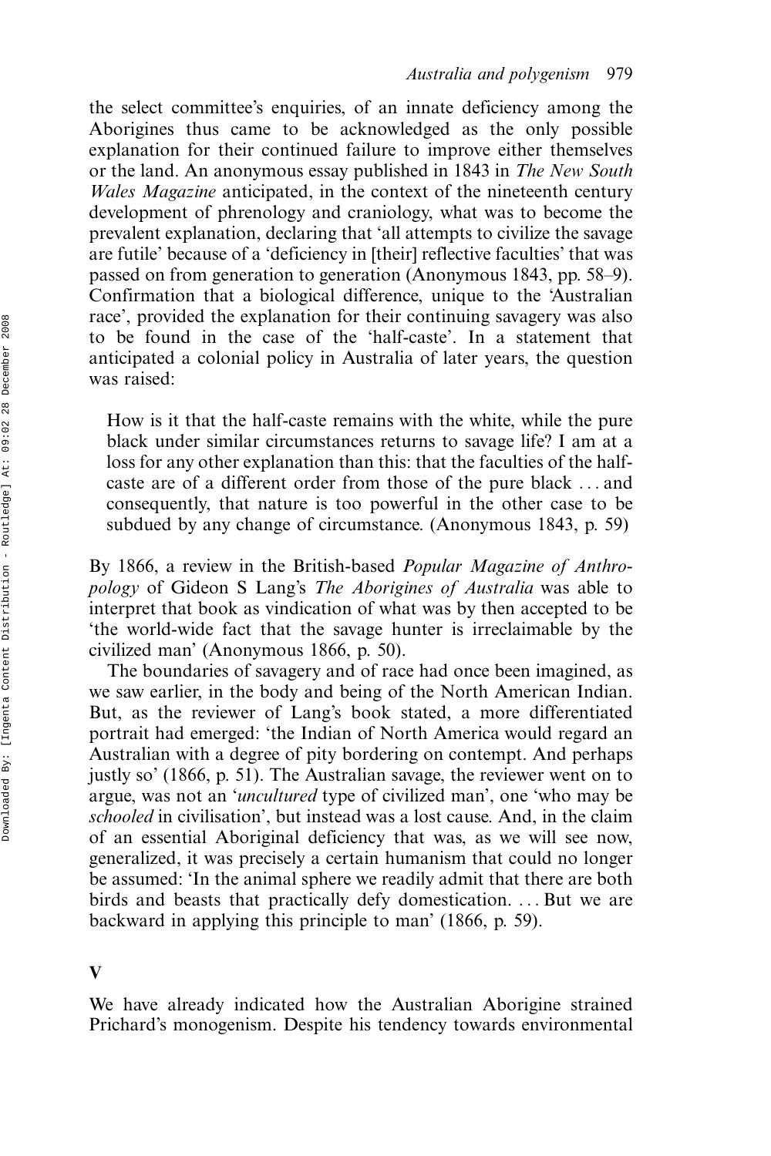the select committee's enquiries, of an innate deficiency among the Aborigines thus came to be acknowledged as the only possible explanation for their continued failure to improve either themselves or the land. An anonymous essay published in 1843 in The New South Wales Magazine anticipated, in the context of the nineteenth century development of phrenology and craniology, what was to become the prevalent explanation, declaring that 'all attempts to civilize the savage are futile' because of a 'deficiency in [their] reflective faculties' that was passed on from generation to generation (Anonymous 1843, pp.  $58-9$ ). Confirmation that a biological difference, unique to the 'Australian race', provided the explanation for their continuing savagery was also to be found in the case of the 'half-caste'. In a statement that anticipated a colonial policy in Australia of later years, the question was raised:

How is it that the half-caste remains with the white, while the pure black under similar circumstances returns to savage life? I am at a loss for any other explanation than this: that the faculties of the halfcaste are of a different order from those of the pure black ... and consequently, that nature is too powerful in the other case to be subdued by any change of circumstance. (Anonymous 1843, p. 59)

By 1866, a review in the British-based Popular Magazine of Anthropology of Gideon S Lang's The Aborigines of Australia was able to interpret that book as vindication of what was by then accepted to be 'the world-wide fact that the savage hunter is irreclaimable by the civilized man' (Anonymous 1866, p. 50).

The boundaries of savagery and of race had once been imagined, as we saw earlier, in the body and being of the North American Indian. But, as the reviewer of Lang's book stated, a more differentiated portrait had emerged: 'the Indian of North America would regard an Australian with a degree of pity bordering on contempt. And perhaps justly so' (1866, p. 51). The Australian savage, the reviewer went on to argue, was not an 'uncultured type of civilized man', one 'who may be schooled in civilisation', but instead was a lost cause. And, in the claim of an essential Aboriginal deficiency that was, as we will see now, generalized, it was precisely a certain humanism that could no longer be assumed: 'In the animal sphere we readily admit that there are both birds and beasts that practically defy domestication. ... But we are backward in applying this principle to man' (1866, p. 59).

#### V

We have already indicated how the Australian Aborigine strained Prichard's monogenism. Despite his tendency towards environmental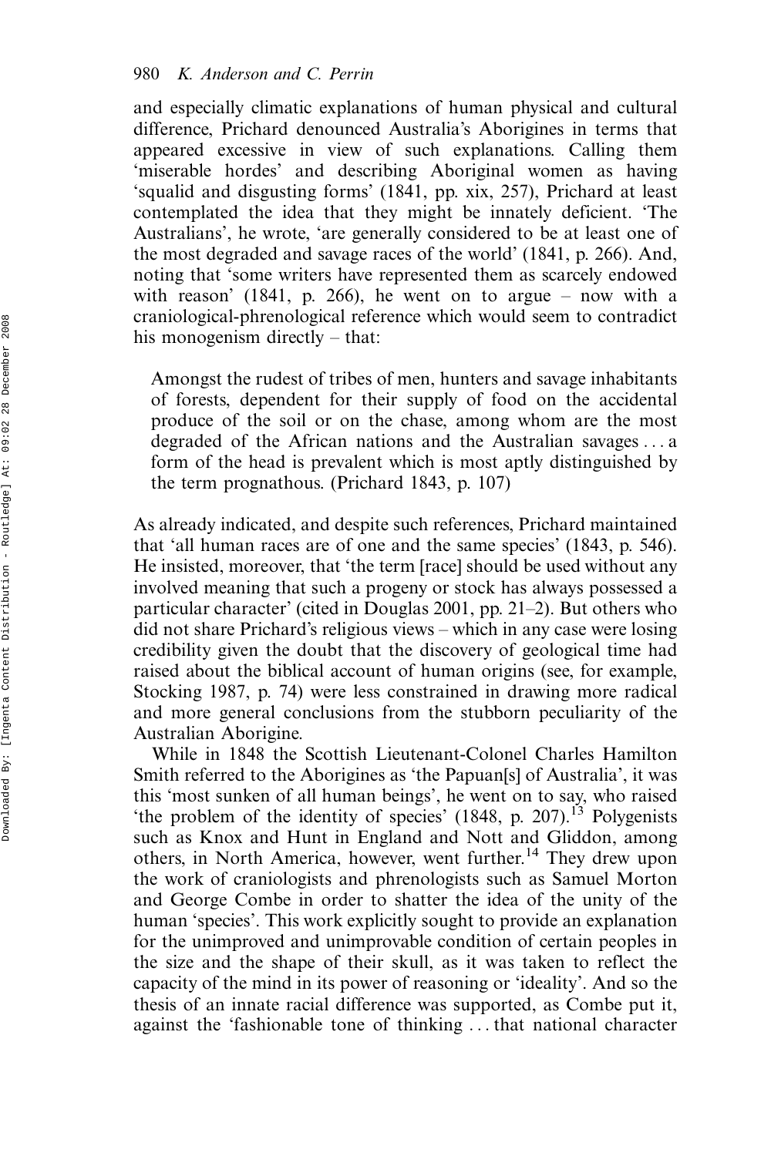and especially climatic explanations of human physical and cultural difference, Prichard denounced Australia's Aborigines in terms that appeared excessive in view of such explanations. Calling them 'miserable hordes' and describing Aboriginal women as having 'squalid and disgusting forms' (1841, pp. xix, 257), Prichard at least contemplated the idea that they might be innately deficient. 'The Australians', he wrote, 'are generally considered to be at least one of the most degraded and savage races of the world' (1841, p. 266). And, noting that 'some writers have represented them as scarcely endowed with reason'  $(1841, p. 266)$ , he went on to argue – now with a craniological-phrenological reference which would seem to contradict his monogenism directly  $-$  that:

Amongst the rudest of tribes of men, hunters and savage inhabitants of forests, dependent for their supply of food on the accidental produce of the soil or on the chase, among whom are the most degraded of the African nations and the Australian savages ... a form of the head is prevalent which is most aptly distinguished by the term prognathous. (Prichard 1843, p. 107)

As already indicated, and despite such references, Prichard maintained that 'all human races are of one and the same species' (1843, p. 546). He insisted, moreover, that 'the term [race] should be used without any involved meaning that such a progeny or stock has always possessed a particular character' (cited in Douglas 2001, pp. 21–2). But others who did not share Prichard's religious views – which in any case were losing credibility given the doubt that the discovery of geological time had raised about the biblical account of human origins (see, for example, Stocking 1987, p. 74) were less constrained in drawing more radical and more general conclusions from the stubborn peculiarity of the Australian Aborigine.

While in 1848 the Scottish Lieutenant-Colonel Charles Hamilton Smith referred to the Aborigines as 'the Papuan[s] of Australia', it was this 'most sunken of all human beings', he went on to say, who raised 'the problem of the identity of species'  $(1848, p. 207)$ .<sup>13</sup> Polygenists such as Knox and Hunt in England and Nott and Gliddon, among others, in North America, however, went further.<sup>14</sup> They drew upon the work of craniologists and phrenologists such as Samuel Morton and George Combe in order to shatter the idea of the unity of the human 'species'. This work explicitly sought to provide an explanation for the unimproved and unimprovable condition of certain peoples in the size and the shape of their skull, as it was taken to reflect the capacity of the mind in its power of reasoning or 'ideality'. And so the thesis of an innate racial difference was supported, as Combe put it, against the 'fashionable tone of thinking ... that national character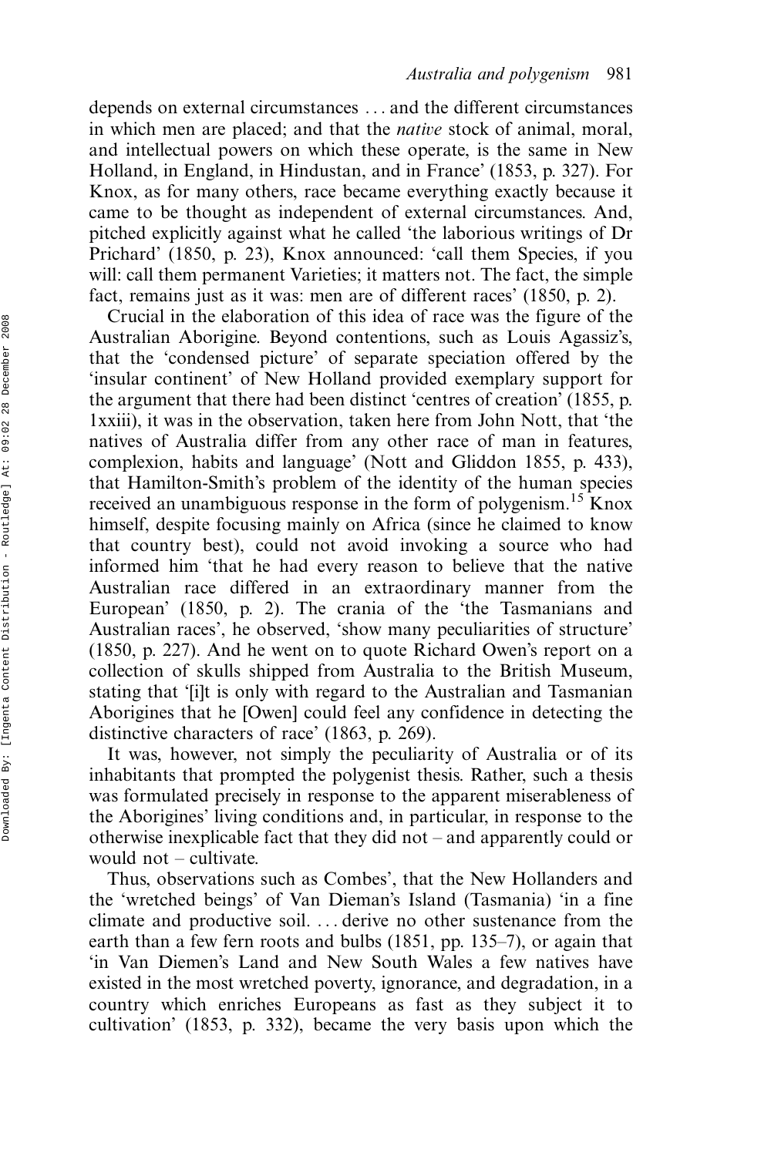depends on external circumstances ... and the different circumstances in which men are placed; and that the native stock of animal, moral, and intellectual powers on which these operate, is the same in New Holland, in England, in Hindustan, and in France' (1853, p. 327). For Knox, as for many others, race became everything exactly because it came to be thought as independent of external circumstances. And, pitched explicitly against what he called 'the laborious writings of Dr Prichard' (1850, p. 23), Knox announced: 'call them Species, if you will: call them permanent Varieties; it matters not. The fact, the simple fact, remains just as it was: men are of different races' (1850, p. 2).

Crucial in the elaboration of this idea of race was the figure of the Australian Aborigine. Beyond contentions, such as Louis Agassiz's, that the 'condensed picture' of separate speciation offered by the 'insular continent' of New Holland provided exemplary support for the argument that there had been distinct 'centres of creation' (1855, p. 1xxiii), it was in the observation, taken here from John Nott, that 'the natives of Australia differ from any other race of man in features, complexion, habits and language' (Nott and Gliddon 1855, p. 433), that Hamilton-Smith's problem of the identity of the human species received an unambiguous response in the form of polygenism.<sup>15</sup> Knox himself, despite focusing mainly on Africa (since he claimed to know that country best), could not avoid invoking a source who had informed him 'that he had every reason to believe that the native Australian race differed in an extraordinary manner from the European' (1850, p. 2). The crania of the 'the Tasmanians and Australian races', he observed, 'show many peculiarities of structure' (1850, p. 227). And he went on to quote Richard Owen's report on a collection of skulls shipped from Australia to the British Museum, stating that '[i]t is only with regard to the Australian and Tasmanian Aborigines that he [Owen] could feel any confidence in detecting the distinctive characters of race' (1863, p. 269).

It was, however, not simply the peculiarity of Australia or of its inhabitants that prompted the polygenist thesis. Rather, such a thesis was formulated precisely in response to the apparent miserableness of the Aborigines' living conditions and, in particular, in response to the otherwise inexplicable fact that they did not  $-$  and apparently could or would not  $-$  cultivate.

Thus, observations such as Combes', that the New Hollanders and the 'wretched beings' of Van Dieman's Island (Tasmania) 'in a fine climate and productive soil. ... derive no other sustenance from the earth than a few fern roots and bulbs  $(1851, pp. 135-7)$ , or again that 'in Van Diemen's Land and New South Wales a few natives have existed in the most wretched poverty, ignorance, and degradation, in a country which enriches Europeans as fast as they subject it to cultivation' (1853, p. 332), became the very basis upon which the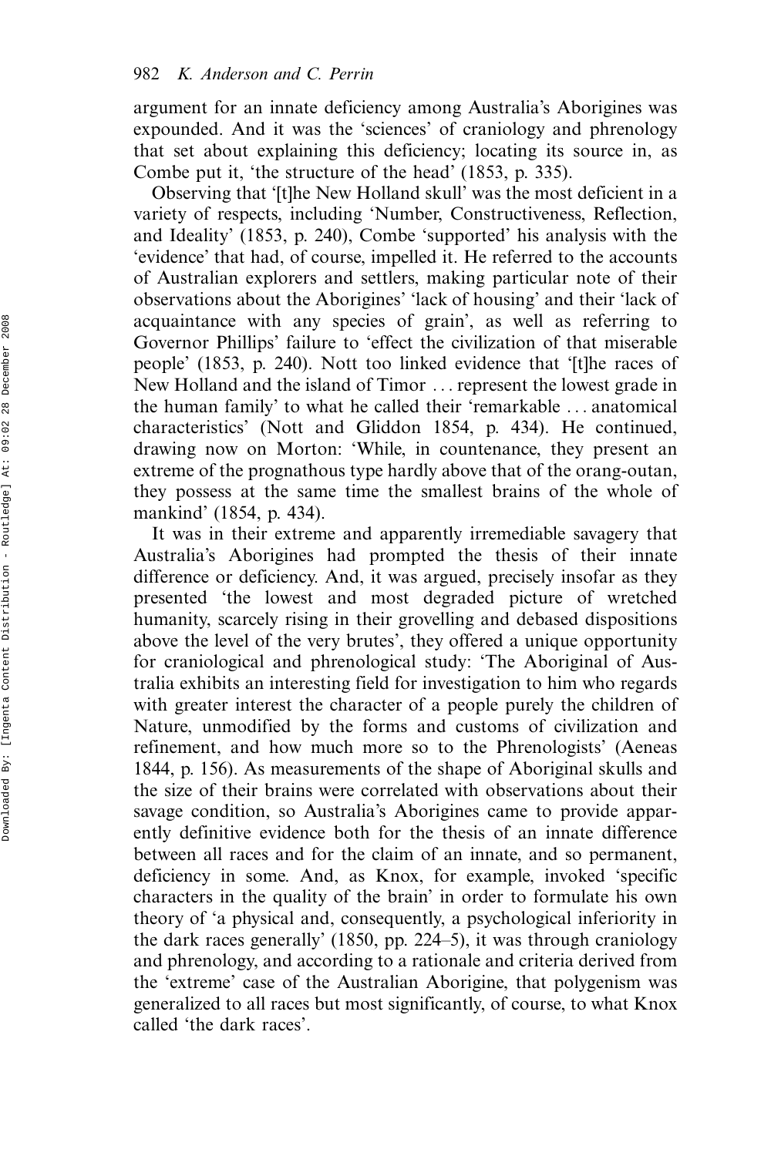argument for an innate deficiency among Australia's Aborigines was expounded. And it was the 'sciences' of craniology and phrenology that set about explaining this deficiency; locating its source in, as Combe put it, 'the structure of the head' (1853, p. 335).

Observing that '[t]he New Holland skull' was the most deficient in a variety of respects, including 'Number, Constructiveness, Reflection, and Ideality' (1853, p. 240), Combe 'supported' his analysis with the 'evidence' that had, of course, impelled it. He referred to the accounts of Australian explorers and settlers, making particular note of their observations about the Aborigines' 'lack of housing' and their 'lack of acquaintance with any species of grain', as well as referring to Governor Phillips' failure to 'effect the civilization of that miserable people' (1853, p. 240). Nott too linked evidence that '[t]he races of New Holland and the island of Timor ... represent the lowest grade in the human family' to what he called their 'remarkable ... anatomical characteristics' (Nott and Gliddon 1854, p. 434). He continued, drawing now on Morton: 'While, in countenance, they present an extreme of the prognathous type hardly above that of the orang-outan, they possess at the same time the smallest brains of the whole of mankind' (1854, p. 434).

It was in their extreme and apparently irremediable savagery that Australia's Aborigines had prompted the thesis of their innate difference or deficiency. And, it was argued, precisely insofar as they presented 'the lowest and most degraded picture of wretched humanity, scarcely rising in their grovelling and debased dispositions above the level of the very brutes', they offered a unique opportunity for craniological and phrenological study: 'The Aboriginal of Australia exhibits an interesting field for investigation to him who regards with greater interest the character of a people purely the children of Nature, unmodified by the forms and customs of civilization and refinement, and how much more so to the Phrenologists' (Aeneas 1844, p. 156). As measurements of the shape of Aboriginal skulls and the size of their brains were correlated with observations about their savage condition, so Australia's Aborigines came to provide apparently definitive evidence both for the thesis of an innate difference between all races and for the claim of an innate, and so permanent, deficiency in some. And, as Knox, for example, invoked 'specific characters in the quality of the brain' in order to formulate his own theory of 'a physical and, consequently, a psychological inferiority in the dark races generally'  $(1850, \text{ pp. } 224-5)$ , it was through craniology and phrenology, and according to a rationale and criteria derived from the 'extreme' case of the Australian Aborigine, that polygenism was generalized to all races but most significantly, of course, to what Knox called 'the dark races'.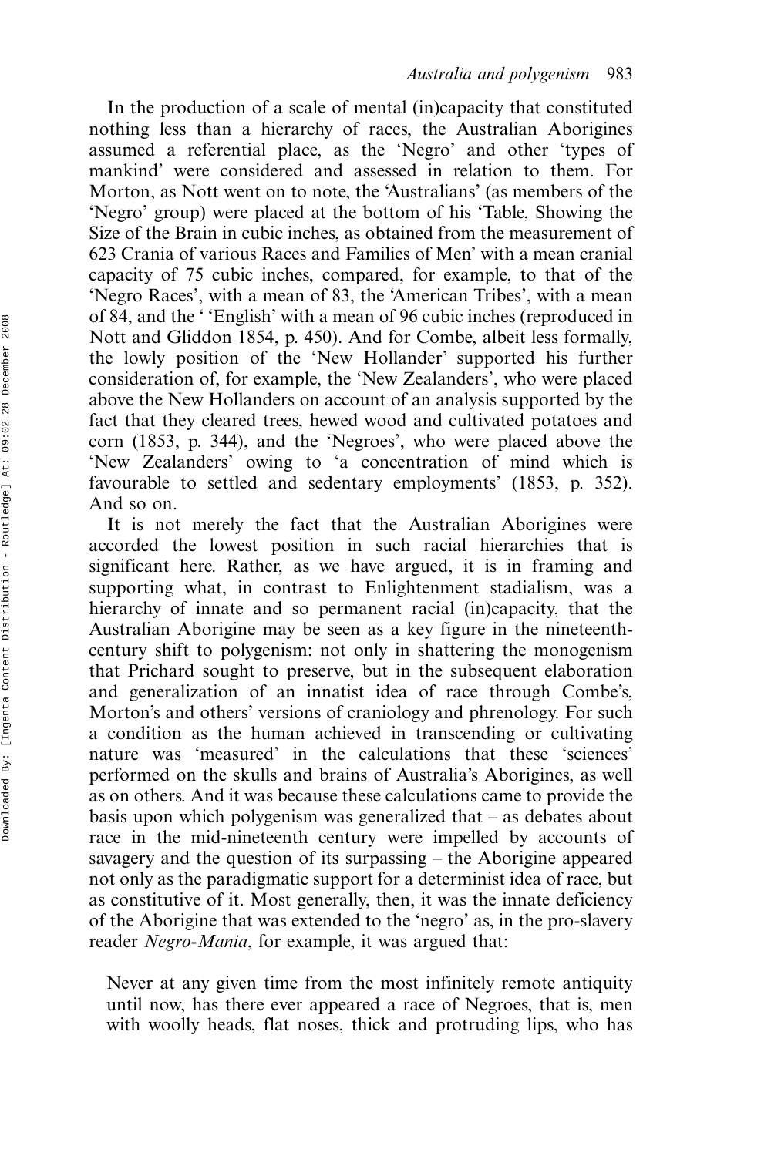In the production of a scale of mental (in)capacity that constituted nothing less than a hierarchy of races, the Australian Aborigines assumed a referential place, as the 'Negro' and other 'types of mankind' were considered and assessed in relation to them. For Morton, as Nott went on to note, the 'Australians' (as members of the 'Negro' group) were placed at the bottom of his 'Table, Showing the Size of the Brain in cubic inches, as obtained from the measurement of 623 Crania of various Races and Families of Men' with a mean cranial capacity of 75 cubic inches, compared, for example, to that of the 'Negro Races', with a mean of 83, the 'American Tribes', with a mean of 84, and the ' 'English' with a mean of 96 cubic inches (reproduced in Nott and Gliddon 1854, p. 450). And for Combe, albeit less formally, the lowly position of the 'New Hollander' supported his further consideration of, for example, the 'New Zealanders', who were placed above the New Hollanders on account of an analysis supported by the fact that they cleared trees, hewed wood and cultivated potatoes and corn (1853, p. 344), and the 'Negroes', who were placed above the 'New Zealanders' owing to 'a concentration of mind which is favourable to settled and sedentary employments' (1853, p. 352). And so on.

It is not merely the fact that the Australian Aborigines were accorded the lowest position in such racial hierarchies that is significant here. Rather, as we have argued, it is in framing and supporting what, in contrast to Enlightenment stadialism, was a hierarchy of innate and so permanent racial (in)capacity, that the Australian Aborigine may be seen as a key figure in the nineteenthcentury shift to polygenism: not only in shattering the monogenism that Prichard sought to preserve, but in the subsequent elaboration and generalization of an innatist idea of race through Combe's, Morton's and others' versions of craniology and phrenology. For such a condition as the human achieved in transcending or cultivating nature was 'measured' in the calculations that these 'sciences' performed on the skulls and brains of Australia's Aborigines, as well as on others. And it was because these calculations came to provide the basis upon which polygenism was generalized that  $-$  as debates about race in the mid-nineteenth century were impelled by accounts of savagery and the question of its surpassing  $-$  the Aborigine appeared not only as the paradigmatic support for a determinist idea of race, but as constitutive of it. Most generally, then, it was the innate deficiency of the Aborigine that was extended to the 'negro' as, in the pro-slavery reader Negro-Mania, for example, it was argued that:

Never at any given time from the most infinitely remote antiquity until now, has there ever appeared a race of Negroes, that is, men with woolly heads, flat noses, thick and protruding lips, who has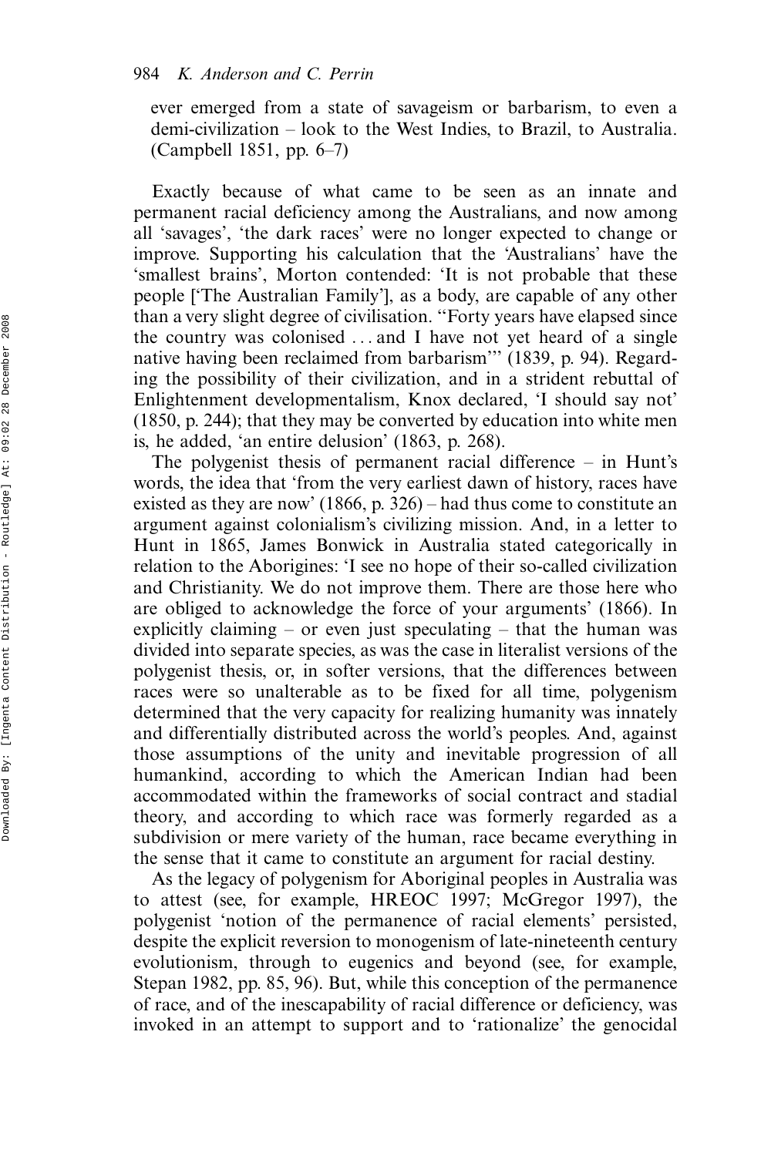ever emerged from a state of savageism or barbarism, to even a demi-civilization – look to the West Indies, to Brazil, to Australia. (Campbell 1851, pp.  $6-7$ )

Exactly because of what came to be seen as an innate and permanent racial deficiency among the Australians, and now among all 'savages', 'the dark races' were no longer expected to change or improve. Supporting his calculation that the 'Australians' have the 'smallest brains', Morton contended: 'It is not probable that these people ['The Australian Family'], as a body, are capable of any other than a very slight degree of civilisation. ''Forty years have elapsed since the country was colonised ... and I have not yet heard of a single native having been reclaimed from barbarism''' (1839, p. 94). Regarding the possibility of their civilization, and in a strident rebuttal of Enlightenment developmentalism, Knox declared, 'I should say not' (1850, p. 244); that they may be converted by education into white men is, he added, 'an entire delusion' (1863, p. 268).

The polygenist thesis of permanent racial difference  $-$  in Hunt's words, the idea that 'from the very earliest dawn of history, races have existed as they are now'  $(1866, p. 326)$  – had thus come to constitute an argument against colonialism's civilizing mission. And, in a letter to Hunt in 1865, James Bonwick in Australia stated categorically in relation to the Aborigines: 'I see no hope of their so-called civilization and Christianity. We do not improve them. There are those here who are obliged to acknowledge the force of your arguments' (1866). In explicitly claiming  $-$  or even just speculating  $-$  that the human was divided into separate species, as was the case in literalist versions of the polygenist thesis, or, in softer versions, that the differences between races were so unalterable as to be fixed for all time, polygenism determined that the very capacity for realizing humanity was innately and differentially distributed across the world's peoples. And, against those assumptions of the unity and inevitable progression of all humankind, according to which the American Indian had been accommodated within the frameworks of social contract and stadial theory, and according to which race was formerly regarded as a subdivision or mere variety of the human, race became everything in the sense that it came to constitute an argument for racial destiny.

As the legacy of polygenism for Aboriginal peoples in Australia was to attest (see, for example, HREOC 1997; McGregor 1997), the polygenist 'notion of the permanence of racial elements' persisted, despite the explicit reversion to monogenism of late-nineteenth century evolutionism, through to eugenics and beyond (see, for example, Stepan 1982, pp. 85, 96). But, while this conception of the permanence of race, and of the inescapability of racial difference or deficiency, was invoked in an attempt to support and to 'rationalize' the genocidal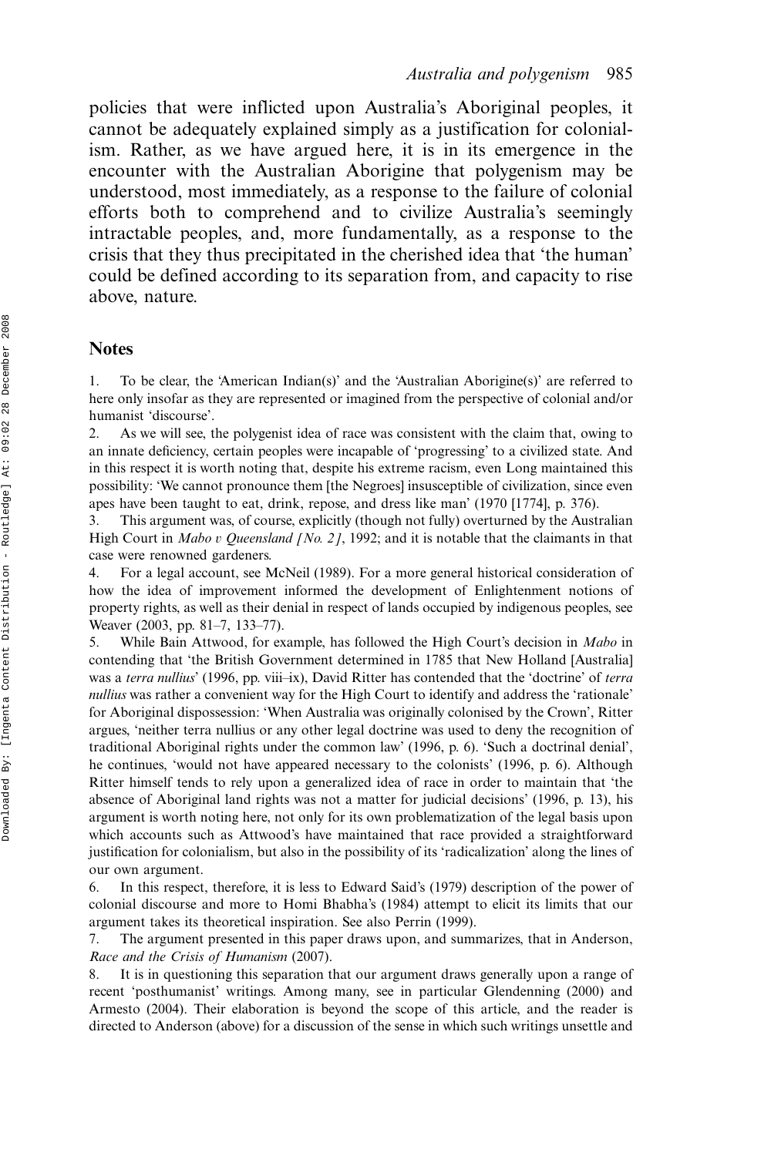policies that were inflicted upon Australia's Aboriginal peoples, it cannot be adequately explained simply as a justification for colonialism. Rather, as we have argued here, it is in its emergence in the encounter with the Australian Aborigine that polygenism may be understood, most immediately, as a response to the failure of colonial efforts both to comprehend and to civilize Australia's seemingly intractable peoples, and, more fundamentally, as a response to the crisis that they thus precipitated in the cherished idea that 'the human' could be defined according to its separation from, and capacity to rise above, nature.

#### Notes

1. To be clear, the 'American Indian(s)' and the 'Australian Aborigine(s)' are referred to here only insofar as they are represented or imagined from the perspective of colonial and/or humanist 'discourse'.

2. As we will see, the polygenist idea of race was consistent with the claim that, owing to an innate deficiency, certain peoples were incapable of 'progressing' to a civilized state. And in this respect it is worth noting that, despite his extreme racism, even Long maintained this possibility: 'We cannot pronounce them [the Negroes] insusceptible of civilization, since even apes have been taught to eat, drink, repose, and dress like man' (1970 [1774], p. 376).

3. This argument was, of course, explicitly (though not fully) overturned by the Australian High Court in Mabo v Queensland [No. 2], 1992; and it is notable that the claimants in that case were renowned gardeners.

4. For a legal account, see McNeil (1989). For a more general historical consideration of how the idea of improvement informed the development of Enlightenment notions of property rights, as well as their denial in respect of lands occupied by indigenous peoples, see Weaver (2003, pp. 81–7, 133–77).

5. While Bain Attwood, for example, has followed the High Court's decision in Mabo in contending that 'the British Government determined in 1785 that New Holland [Australia] was a terra nullius' (1996, pp. viii-ix), David Ritter has contended that the 'doctrine' of terra nullius was rather a convenient way for the High Court to identify and address the 'rationale' for Aboriginal dispossession: 'When Australia was originally colonised by the Crown', Ritter argues, 'neither terra nullius or any other legal doctrine was used to deny the recognition of traditional Aboriginal rights under the common law' (1996, p. 6). 'Such a doctrinal denial', he continues, 'would not have appeared necessary to the colonists' (1996, p. 6). Although Ritter himself tends to rely upon a generalized idea of race in order to maintain that 'the absence of Aboriginal land rights was not a matter for judicial decisions' (1996, p. 13), his argument is worth noting here, not only for its own problematization of the legal basis upon which accounts such as Attwood's have maintained that race provided a straightforward justification for colonialism, but also in the possibility of its 'radicalization' along the lines of our own argument.

6. In this respect, therefore, it is less to Edward Said's (1979) description of the power of colonial discourse and more to Homi Bhabha's (1984) attempt to elicit its limits that our argument takes its theoretical inspiration. See also Perrin (1999).

7. The argument presented in this paper draws upon, and summarizes, that in Anderson, Race and the Crisis of Humanism (2007).

It is in questioning this separation that our argument draws generally upon a range of recent 'posthumanist' writings. Among many, see in particular Glendenning (2000) and Armesto (2004). Their elaboration is beyond the scope of this article, and the reader is directed to Anderson (above) for a discussion of the sense in which such writings unsettle and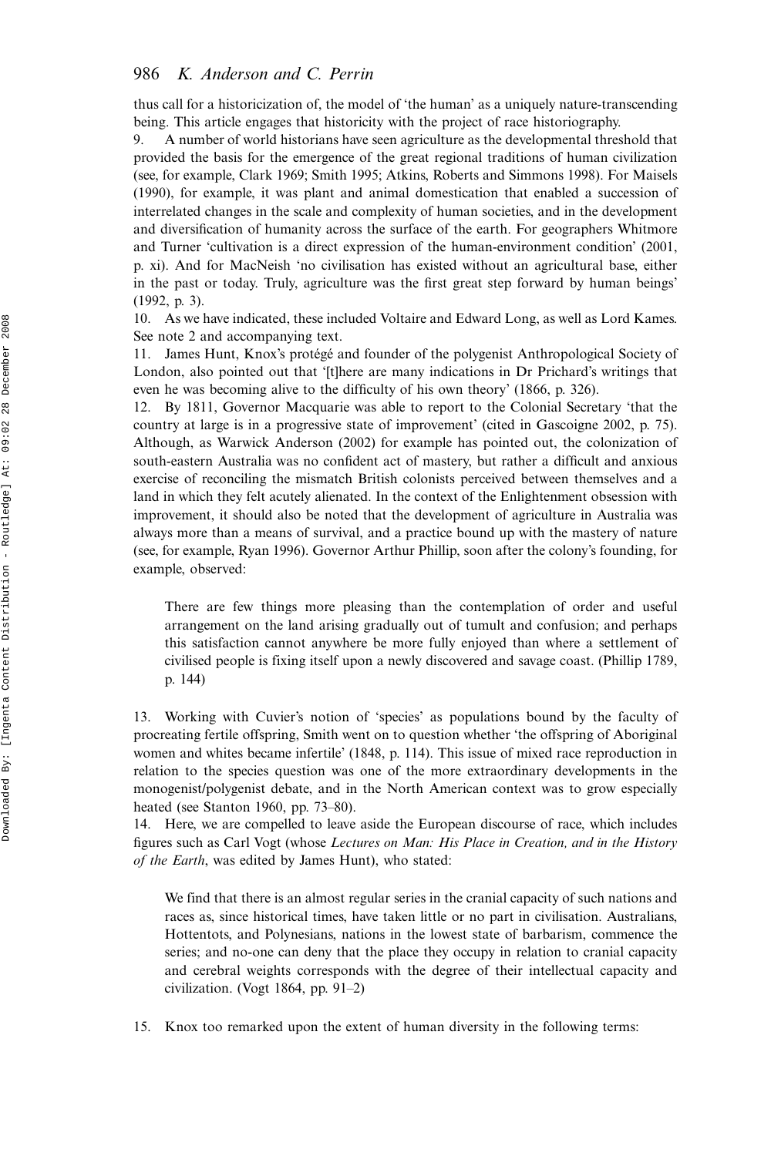#### 986 K. Anderson and C. Perrin

thus call for a historicization of, the model of 'the human' as a uniquely nature-transcending being. This article engages that historicity with the project of race historiography.

9. A number of world historians have seen agriculture as the developmental threshold that provided the basis for the emergence of the great regional traditions of human civilization (see, for example, Clark 1969; Smith 1995; Atkins, Roberts and Simmons 1998). For Maisels (1990), for example, it was plant and animal domestication that enabled a succession of interrelated changes in the scale and complexity of human societies, and in the development and diversification of humanity across the surface of the earth. For geographers Whitmore and Turner 'cultivation is a direct expression of the human-environment condition' (2001, p. xi). And for MacNeish 'no civilisation has existed without an agricultural base, either in the past or today. Truly, agriculture was the first great step forward by human beings' (1992, p. 3).

10. As we have indicated, these included Voltaire and Edward Long, as well as Lord Kames. See note 2 and accompanying text.

James Hunt, Knox's protégé and founder of the polygenist Anthropological Society of London, also pointed out that '[t]here are many indications in Dr Prichard's writings that even he was becoming alive to the difficulty of his own theory' (1866, p. 326).

12. By 1811, Governor Macquarie was able to report to the Colonial Secretary 'that the country at large is in a progressive state of improvement' (cited in Gascoigne 2002, p. 75). Although, as Warwick Anderson (2002) for example has pointed out, the colonization of south-eastern Australia was no confident act of mastery, but rather a difficult and anxious exercise of reconciling the mismatch British colonists perceived between themselves and a land in which they felt acutely alienated. In the context of the Enlightenment obsession with improvement, it should also be noted that the development of agriculture in Australia was always more than a means of survival, and a practice bound up with the mastery of nature (see, for example, Ryan 1996). Governor Arthur Phillip, soon after the colony's founding, for example, observed:

There are few things more pleasing than the contemplation of order and useful arrangement on the land arising gradually out of tumult and confusion; and perhaps this satisfaction cannot anywhere be more fully enjoyed than where a settlement of civilised people is fixing itself upon a newly discovered and savage coast. (Phillip 1789, p. 144)

13. Working with Cuvier's notion of 'species' as populations bound by the faculty of procreating fertile offspring, Smith went on to question whether 'the offspring of Aboriginal women and whites became infertile' (1848, p. 114). This issue of mixed race reproduction in relation to the species question was one of the more extraordinary developments in the monogenist/polygenist debate, and in the North American context was to grow especially heated (see Stanton 1960, pp.  $73-80$ ).

14. Here, we are compelled to leave aside the European discourse of race, which includes figures such as Carl Vogt (whose Lectures on Man: His Place in Creation, and in the History of the Earth, was edited by James Hunt), who stated:

We find that there is an almost regular series in the cranial capacity of such nations and races as, since historical times, have taken little or no part in civilisation. Australians, Hottentots, and Polynesians, nations in the lowest state of barbarism, commence the series; and no-one can deny that the place they occupy in relation to cranial capacity and cerebral weights corresponds with the degree of their intellectual capacity and civilization. (Vogt 1864, pp.  $91-2$ )

15. Knox too remarked upon the extent of human diversity in the following terms: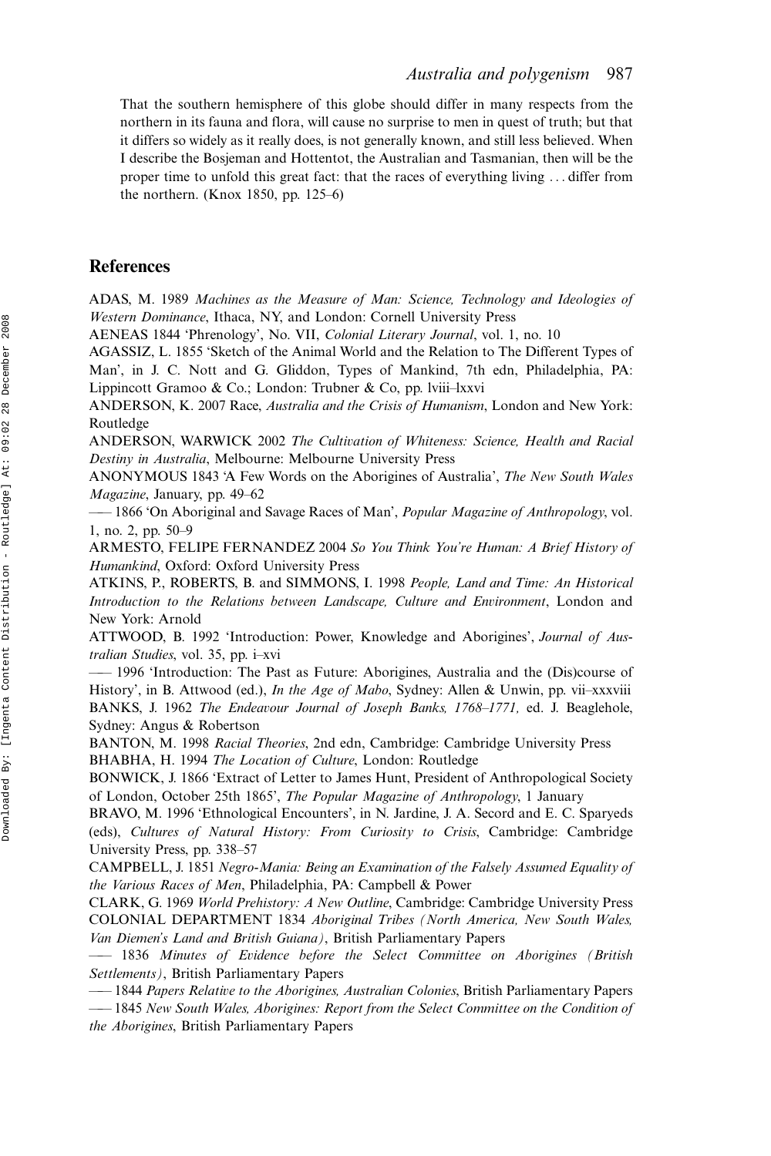That the southern hemisphere of this globe should differ in many respects from the northern in its fauna and flora, will cause no surprise to men in quest of truth; but that it differs so widely as it really does, is not generally known, and still less believed. When I describe the Bosjeman and Hottentot, the Australian and Tasmanian, then will be the proper time to unfold this great fact: that the races of everything living ... differ from the northern. (Knox 1850, pp. 125–6)

#### **References**

ADAS, M. 1989 Machines as the Measure of Man: Science, Technology and Ideologies of Western Dominance, Ithaca, NY, and London: Cornell University Press

AENEAS 1844 'Phrenology', No. VII, Colonial Literary Journal, vol. 1, no. 10

AGASSIZ, L. 1855 'Sketch of the Animal World and the Relation to The Different Types of Man', in J. C. Nott and G. Gliddon, Types of Mankind, 7th edn, Philadelphia, PA: Lippincott Gramoo & Co.; London: Trubner & Co, pp. lviii-lxxvi

ANDERSON, K. 2007 Race, Australia and the Crisis of Humanism, London and New York: Routledge

ANDERSON, WARWICK 2002 The Cultivation of Whiteness: Science, Health and Racial Destiny in Australia, Melbourne: Melbourne University Press

ANONYMOUS 1843 'A Few Words on the Aborigines of Australia', The New South Wales Magazine, January, pp. 49–62

- 1866 'On Aboriginal and Savage Races of Man', Popular Magazine of Anthropology, vol.  $1, no. 2, pp. 50-9$ 

ARMESTO, FELIPE FERNANDEZ 2004 So You Think You're Human: A Brief History of Humankind, Oxford: Oxford University Press

ATKINS, P., ROBERTS, B. and SIMMONS, I. 1998 People, Land and Time: An Historical Introduction to the Relations between Landscape, Culture and Environment, London and New York: Arnold

ATTWOOD, B. 1992 'Introduction: Power, Knowledge and Aborigines', Journal of Australian Studies, vol. 35, pp. i-xvi

 $-$  1996 'Introduction: The Past as Future: Aborigines, Australia and the (Dis)course of History', in B. Attwood (ed.), In the Age of Mabo, Sydney: Allen & Unwin, pp. vii-xxxviii BANKS, J. 1962 The Endeavour Journal of Joseph Banks, 1768–1771, ed. J. Beaglehole, Sydney: Angus & Robertson

BANTON, M. 1998 Racial Theories, 2nd edn, Cambridge: Cambridge University Press BHABHA, H. 1994 The Location of Culture, London: Routledge

BONWICK, J. 1866 'Extract of Letter to James Hunt, President of Anthropological Society of London, October 25th 1865', The Popular Magazine of Anthropology, 1 January

BRAVO, M. 1996 'Ethnological Encounters', in N. Jardine, J. A. Secord and E. C. Sparyeds (eds), Cultures of Natural History: From Curiosity to Crisis, Cambridge: Cambridge University Press, pp. 338–57

CAMPBELL, J. 1851 Negro-Mania: Being an Examination of the Falsely Assumed Equality of the Various Races of Men, Philadelphia, PA: Campbell & Power

CLARK, G. 1969 World Prehistory: A New Outline, Cambridge: Cambridge University Press COLONIAL DEPARTMENT 1834 Aboriginal Tribes (North America, New South Wales, Van Diemen's Land and British Guiana), British Parliamentary Papers

<sup>- 1836</sup> Minutes of Evidence before the Select Committee on Aborigines (British Settlements), British Parliamentary Papers

<sup>- 1844</sup> Papers Relative to the Aborigines, Australian Colonies, British Parliamentary Papers

 $-$  1845 New South Wales, Aborigines: Report from the Select Committee on the Condition of the Aborigines, British Parliamentary Papers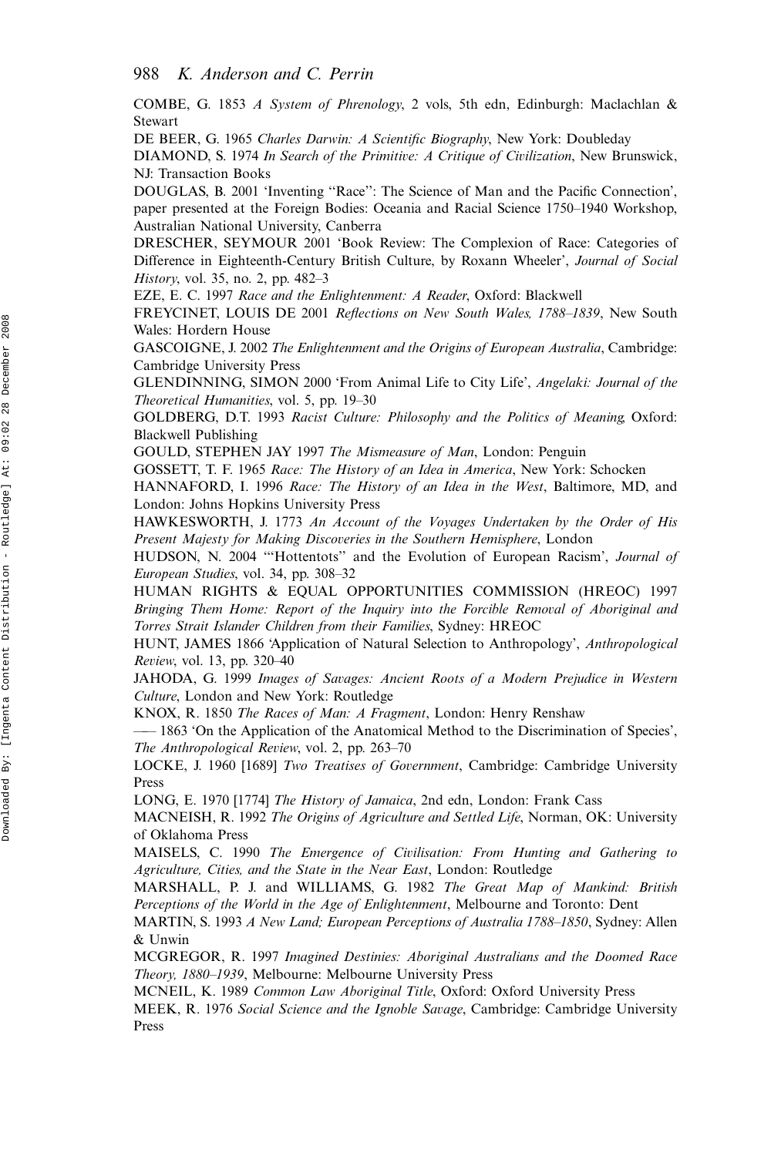#### 988 K. Anderson and C. Perrin

COMBE, G. 1853 A System of Phrenology, 2 vols, 5th edn, Edinburgh: Maclachlan & Stewart

DE BEER, G. 1965 Charles Darwin: A Scientific Biography, New York: Doubleday

DIAMOND, S. 1974 In Search of the Primitive: A Critique of Civilization, New Brunswick, NJ: Transaction Books

DOUGLAS, B. 2001 'Inventing ''Race'': The Science of Man and the Pacific Connection', paper presented at the Foreign Bodies: Oceania and Racial Science 1750-1940 Workshop, Australian National University, Canberra

DRESCHER, SEYMOUR 2001 'Book Review: The Complexion of Race: Categories of Difference in Eighteenth-Century British Culture, by Roxann Wheeler', Journal of Social History, vol. 35, no. 2, pp. 482-3

EZE, E. C. 1997 Race and the Enlightenment: A Reader, Oxford: Blackwell

FREYCINET, LOUIS DE 2001 Reflections on New South Wales, 1788-1839, New South Wales: Hordern House

GASCOIGNE, J. 2002 The Enlightenment and the Origins of European Australia, Cambridge: Cambridge University Press

GLENDINNING, SIMON 2000 'From Animal Life to City Life', Angelaki: Journal of the Theoretical Humanities, vol. 5, pp. 19-30

GOLDBERG, D.T. 1993 Racist Culture: Philosophy and the Politics of Meaning, Oxford: Blackwell Publishing

GOULD, STEPHEN JAY 1997 The Mismeasure of Man, London: Penguin

GOSSETT, T. F. 1965 Race: The History of an Idea in America, New York: Schocken

HANNAFORD, I. 1996 Race: The History of an Idea in the West, Baltimore, MD, and London: Johns Hopkins University Press

HAWKESWORTH, J. 1773 An Account of the Voyages Undertaken by the Order of His Present Majesty for Making Discoveries in the Southern Hemisphere, London

HUDSON, N. 2004 "'Hottentots" and the Evolution of European Racism', Journal of European Studies, vol. 34, pp. 308-32

HUMAN RIGHTS & EQUAL OPPORTUNITIES COMMISSION (HREOC) 1997 Bringing Them Home: Report of the Inquiry into the Forcible Removal of Aboriginal and Torres Strait Islander Children from their Families, Sydney: HREOC

HUNT, JAMES 1866 'Application of Natural Selection to Anthropology', Anthropological Review, vol. 13, pp. 320-40

JAHODA, G. 1999 Images of Savages: Ancient Roots of a Modern Prejudice in Western Culture, London and New York: Routledge

KNOX, R. 1850 The Races of Man: A Fragment, London: Henry Renshaw

- 1863 'On the Application of the Anatomical Method to the Discrimination of Species', The Anthropological Review, vol. 2, pp. 263-70

LOCKE, J. 1960 [1689] Two Treatises of Government, Cambridge: Cambridge University Press

LONG, E. 1970 [1774] The History of Jamaica, 2nd edn, London: Frank Cass

MACNEISH, R. 1992 The Origins of Agriculture and Settled Life, Norman, OK: University of Oklahoma Press

MAISELS, C. 1990 The Emergence of Civilisation: From Hunting and Gathering to Agriculture, Cities, and the State in the Near East, London: Routledge

MARSHALL, P. J. and WILLIAMS, G. 1982 The Great Map of Mankind: British Perceptions of the World in the Age of Enlightenment, Melbourne and Toronto: Dent

MARTIN, S. 1993 A New Land; European Perceptions of Australia 1788–1850, Sydney: Allen  $\&$  Unwin

MCGREGOR, R. 1997 Imagined Destinies: Aboriginal Australians and the Doomed Race Theory, 1880–1939, Melbourne: Melbourne University Press

MCNEIL, K. 1989 Common Law Aboriginal Title, Oxford: Oxford University Press

MEEK, R. 1976 Social Science and the Ignoble Savage, Cambridge: Cambridge University Press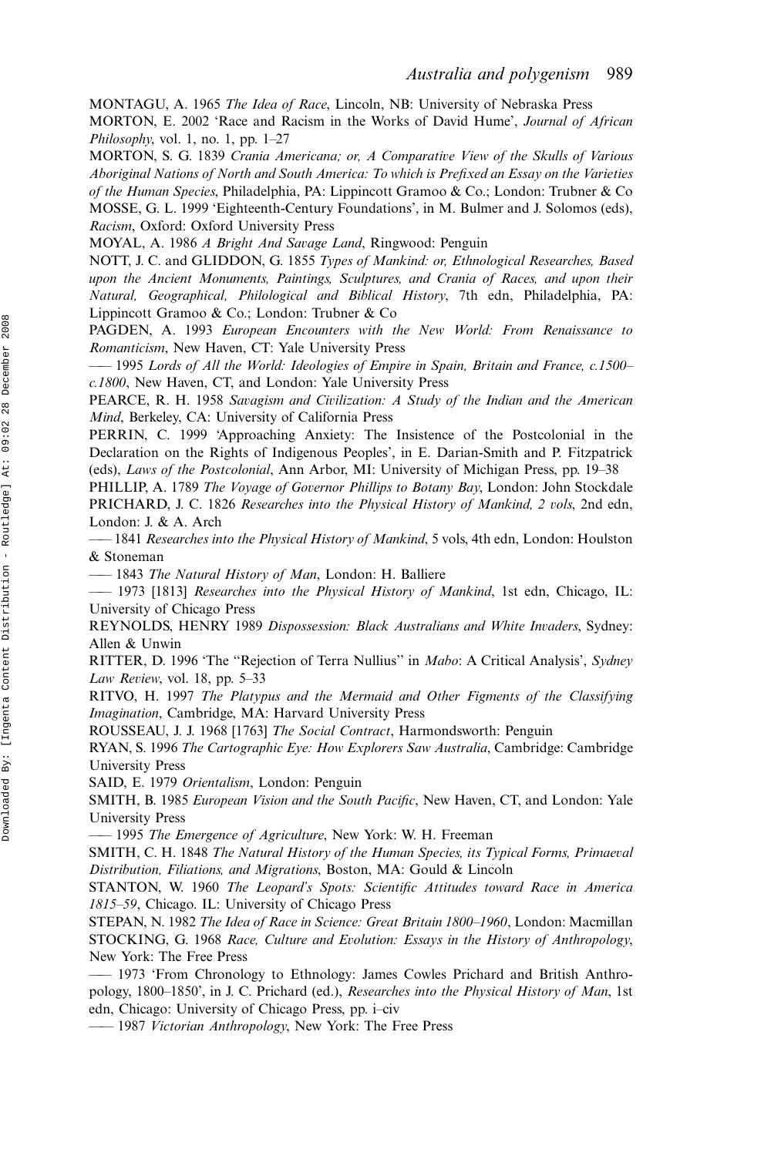MONTAGU, A. 1965 The Idea of Race, Lincoln, NB: University of Nebraska Press MORTON, E. 2002 'Race and Racism in the Works of David Hume', Journal of African Philosophy, vol. 1, no. 1, pp.  $1-27$ 

MORTON, S. G. 1839 Crania Americana; or, A Comparative View of the Skulls of Various Aboriginal Nations of North and South America: To which is Prefixed an Essay on the Varieties of the Human Species, Philadelphia, PA: Lippincott Gramoo & Co.; London: Trubner & Co MOSSE, G. L. 1999 'Eighteenth-Century Foundations', in M. Bulmer and J. Solomos (eds), Racism, Oxford: Oxford University Press

MOYAL, A. 1986 A Bright And Savage Land, Ringwood: Penguin

NOTT, J. C. and GLIDDON, G. 1855 Types of Mankind: or, Ethnological Researches, Based upon the Ancient Monuments, Paintings, Sculptures, and Crania of Races, and upon their Natural, Geographical, Philological and Biblical History, 7th edn, Philadelphia, PA: Lippincott Gramoo & Co.; London: Trubner & Co

PAGDEN, A. 1993 European Encounters with the New World: From Renaissance to Romanticism, New Haven, CT: Yale University Press

1995 Lords of All the World: Ideologies of Empire in Spain, Britain and France, c.1500c.1800, New Haven, CT, and London: Yale University Press

PEARCE, R. H. 1958 Savagism and Civilization: A Study of the Indian and the American Mind, Berkeley, CA: University of California Press

PERRIN, C. 1999 'Approaching Anxiety: The Insistence of the Postcolonial in the Declaration on the Rights of Indigenous Peoples', in E. Darian-Smith and P. Fitzpatrick (eds), Laws of the Postcolonial, Ann Arbor, MI: University of Michigan Press, pp. 19–38

PHILLIP, A. 1789 The Voyage of Governor Phillips to Botany Bay, London: John Stockdale PRICHARD, J. C. 1826 Researches into the Physical History of Mankind, 2 vols, 2nd edn, London: J. & A. Arch

<sup>-</sup> 1841 Researches into the Physical History of Mankind, 5 vols, 4th edn, London: Houlston & Stoneman

- 1843 The Natural History of Man, London: H. Balliere

- 1973 [1813] Researches into the Physical History of Mankind, 1st edn, Chicago, IL: University of Chicago Press

REYNOLDS, HENRY 1989 Dispossession: Black Australians and White Invaders, Sydney: Allen & Unwin

RITTER, D. 1996 'The "Rejection of Terra Nullius" in Mabo: A Critical Analysis', Sydney Law Review, vol. 18, pp.  $5-33$ 

RITVO, H. 1997 The Platypus and the Mermaid and Other Figments of the Classifying Imagination, Cambridge, MA: Harvard University Press

ROUSSEAU, J. J. 1968 [1763] The Social Contract, Harmondsworth: Penguin

RYAN, S. 1996 The Cartographic Eye: How Explorers Saw Australia, Cambridge: Cambridge University Press

SAID, E. 1979 Orientalism, London: Penguin

SMITH, B. 1985 European Vision and the South Pacific, New Haven, CT, and London: Yale University Press

– 1995 *The Emergence of Agriculture*, New York: W. H. Freeman

SMITH, C. H. 1848 The Natural History of the Human Species, its Typical Forms, Primaeval Distribution, Filiations, and Migrations, Boston, MA: Gould & Lincoln

STANTON, W. 1960 The Leopard's Spots: Scientific Attitudes toward Race in America 1815–59, Chicago. IL: University of Chicago Press

STEPAN, N. 1982 The Idea of Race in Science: Great Britain 1800–1960, London: Macmillan STOCKING, G. 1968 Race, Culture and Evolution: Essays in the History of Anthropology, New York: The Free Press

- 1973 'From Chronology to Ethnology: James Cowles Prichard and British Anthropology, 1800–1850', in J. C. Prichard (ed.), Researches into the Physical History of Man, 1st edn, Chicago: University of Chicago Press, pp. i-civ

-- 1987 Victorian Anthropology, New York: The Free Press